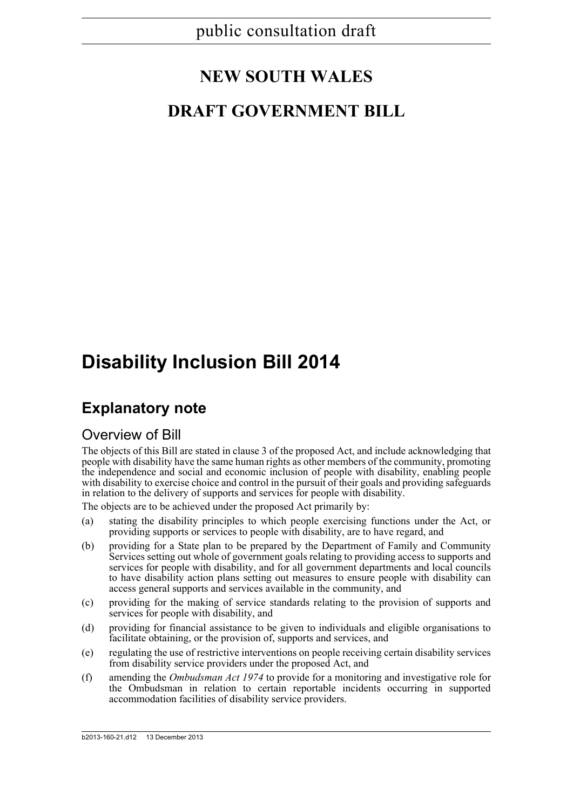## **NEW SOUTH WALES**

## **DRAFT GOVERNMENT BILL**

## **Disability Inclusion Bill 2014**

## **Explanatory note**

### Overview of Bill

The objects of this Bill are stated in clause 3 of the proposed Act, and include acknowledging that people with disability have the same human rights as other members of the community, promoting the independence and social and economic inclusion of people with disability, enabling people with disability to exercise choice and control in the pursuit of their goals and providing safeguards in relation to the delivery of supports and services for people with disability.

The objects are to be achieved under the proposed Act primarily by:

- (a) stating the disability principles to which people exercising functions under the Act, or providing supports or services to people with disability, are to have regard, and
- (b) providing for a State plan to be prepared by the Department of Family and Community Services setting out whole of government goals relating to providing access to supports and services for people with disability, and for all government departments and local councils to have disability action plans setting out measures to ensure people with disability can access general supports and services available in the community, and
- (c) providing for the making of service standards relating to the provision of supports and services for people with disability, and
- (d) providing for financial assistance to be given to individuals and eligible organisations to facilitate obtaining, or the provision of, supports and services, and
- (e) regulating the use of restrictive interventions on people receiving certain disability services from disability service providers under the proposed Act, and
- (f) amending the *Ombudsman Act 1974* to provide for a monitoring and investigative role for the Ombudsman in relation to certain reportable incidents occurring in supported accommodation facilities of disability service providers.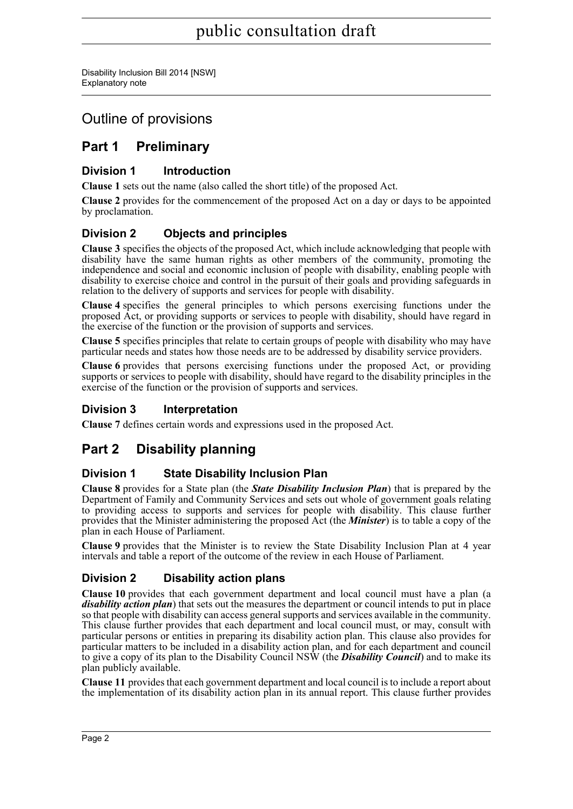Disability Inclusion Bill 2014 [NSW] Explanatory note

## Outline of provisions

## **Part 1 Preliminary**

#### **Division 1 Introduction**

**Clause 1** sets out the name (also called the short title) of the proposed Act.

**Clause 2** provides for the commencement of the proposed Act on a day or days to be appointed by proclamation.

### **Division 2 Objects and principles**

**Clause 3** specifies the objects of the proposed Act, which include acknowledging that people with disability have the same human rights as other members of the community, promoting the independence and social and economic inclusion of people with disability, enabling people with disability to exercise choice and control in the pursuit of their goals and providing safeguards in relation to the delivery of supports and services for people with disability.

**Clause 4** specifies the general principles to which persons exercising functions under the proposed Act, or providing supports or services to people with disability, should have regard in the exercise of the function or the provision of supports and services.

**Clause 5** specifies principles that relate to certain groups of people with disability who may have particular needs and states how those needs are to be addressed by disability service providers.

**Clause 6** provides that persons exercising functions under the proposed Act, or providing supports or services to people with disability, should have regard to the disability principles in the exercise of the function or the provision of supports and services.

### **Division 3 Interpretation**

**Clause 7** defines certain words and expressions used in the proposed Act.

## **Part 2 Disability planning**

#### **Division 1 State Disability Inclusion Plan**

**Clause 8** provides for a State plan (the *State Disability Inclusion Plan*) that is prepared by the Department of Family and Community Services and sets out whole of government goals relating to providing access to supports and services for people with disability. This clause further provides that the Minister administering the proposed Act (the *Minister*) is to table a copy of the plan in each House of Parliament.

**Clause 9** provides that the Minister is to review the State Disability Inclusion Plan at 4 year intervals and table a report of the outcome of the review in each House of Parliament.

### **Division 2 Disability action plans**

**Clause 10** provides that each government department and local council must have a plan (a *disability action plan*) that sets out the measures the department or council intends to put in place so that people with disability can access general supports and services available in the community. This clause further provides that each department and local council must, or may, consult with particular persons or entities in preparing its disability action plan. This clause also provides for particular matters to be included in a disability action plan, and for each department and council to give a copy of its plan to the Disability Council NSW (the *Disability Council*) and to make its plan publicly available.

**Clause 11** provides that each government department and local council is to include a report about the implementation of its disability action plan in its annual report. This clause further provides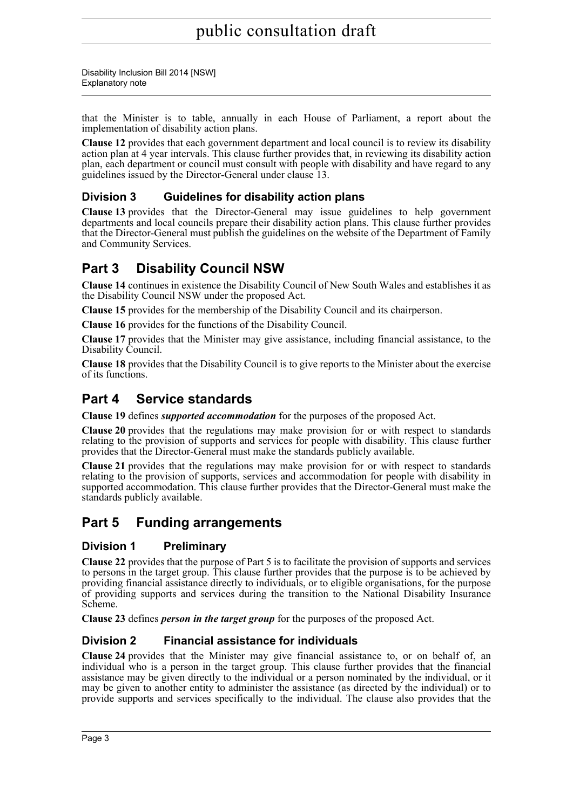that the Minister is to table, annually in each House of Parliament, a report about the implementation of disability action plans.

**Clause 12** provides that each government department and local council is to review its disability action plan at 4 year intervals. This clause further provides that, in reviewing its disability action plan, each department or council must consult with people with disability and have regard to any guidelines issued by the Director-General under clause 13.

#### **Division 3 Guidelines for disability action plans**

**Clause 13** provides that the Director-General may issue guidelines to help government departments and local councils prepare their disability action plans. This clause further provides that the Director-General must publish the guidelines on the website of the Department of Family and Community Services.

### **Part 3 Disability Council NSW**

**Clause 14** continues in existence the Disability Council of New South Wales and establishes it as the Disability Council NSW under the proposed Act.

**Clause 15** provides for the membership of the Disability Council and its chairperson.

**Clause 16** provides for the functions of the Disability Council.

**Clause 17** provides that the Minister may give assistance, including financial assistance, to the Disability Council.

**Clause 18** provides that the Disability Council is to give reports to the Minister about the exercise of its functions.

### **Part 4 Service standards**

**Clause 19** defines *supported accommodation* for the purposes of the proposed Act.

**Clause 20** provides that the regulations may make provision for or with respect to standards relating to the provision of supports and services for people with disability. This clause further provides that the Director-General must make the standards publicly available.

**Clause 21** provides that the regulations may make provision for or with respect to standards relating to the provision of supports, services and accommodation for people with disability in supported accommodation. This clause further provides that the Director-General must make the standards publicly available.

### **Part 5 Funding arrangements**

#### **Division 1 Preliminary**

**Clause 22** provides that the purpose of Part 5 is to facilitate the provision of supports and services to persons in the target group. This clause further provides that the purpose is to be achieved by providing financial assistance directly to individuals, or to eligible organisations, for the purpose of providing supports and services during the transition to the National Disability Insurance Scheme.

**Clause 23** defines *person in the target group* for the purposes of the proposed Act.

#### **Division 2 Financial assistance for individuals**

**Clause 24** provides that the Minister may give financial assistance to, or on behalf of, an individual who is a person in the target group. This clause further provides that the financial assistance may be given directly to the individual or a person nominated by the individual, or it may be given to another entity to administer the assistance (as directed by the individual) or to provide supports and services specifically to the individual. The clause also provides that the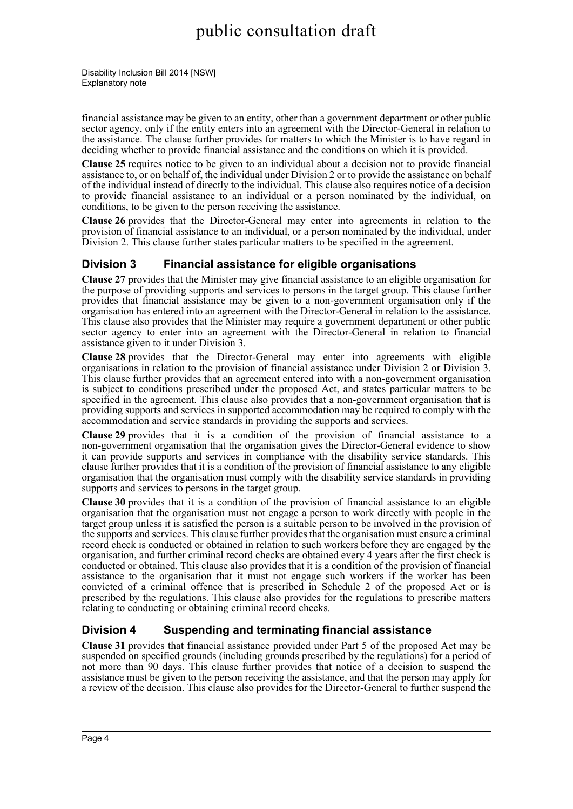financial assistance may be given to an entity, other than a government department or other public sector agency, only if the entity enters into an agreement with the Director-General in relation to the assistance. The clause further provides for matters to which the Minister is to have regard in deciding whether to provide financial assistance and the conditions on which it is provided.

**Clause 25** requires notice to be given to an individual about a decision not to provide financial assistance to, or on behalf of, the individual under Division 2 or to provide the assistance on behalf of the individual instead of directly to the individual. This clause also requires notice of a decision to provide financial assistance to an individual or a person nominated by the individual, on conditions, to be given to the person receiving the assistance.

**Clause 26** provides that the Director-General may enter into agreements in relation to the provision of financial assistance to an individual, or a person nominated by the individual, under Division 2. This clause further states particular matters to be specified in the agreement.

### **Division 3 Financial assistance for eligible organisations**

**Clause 27** provides that the Minister may give financial assistance to an eligible organisation for the purpose of providing supports and services to persons in the target group. This clause further provides that financial assistance may be given to a non-government organisation only if the organisation has entered into an agreement with the Director-General in relation to the assistance. This clause also provides that the Minister may require a government department or other public sector agency to enter into an agreement with the Director-General in relation to financial assistance given to it under Division 3.

**Clause 28** provides that the Director-General may enter into agreements with eligible organisations in relation to the provision of financial assistance under Division 2 or Division 3. This clause further provides that an agreement entered into with a non-government organisation is subject to conditions prescribed under the proposed Act, and states particular matters to be specified in the agreement. This clause also provides that a non-government organisation that is providing supports and services in supported accommodation may be required to comply with the accommodation and service standards in providing the supports and services.

**Clause 29** provides that it is a condition of the provision of financial assistance to a non-government organisation that the organisation gives the Director-General evidence to show it can provide supports and services in compliance with the disability service standards. This clause further provides that it is a condition of the provision of financial assistance to any eligible organisation that the organisation must comply with the disability service standards in providing supports and services to persons in the target group.

**Clause 30** provides that it is a condition of the provision of financial assistance to an eligible organisation that the organisation must not engage a person to work directly with people in the target group unless it is satisfied the person is a suitable person to be involved in the provision of the supports and services. This clause further provides that the organisation must ensure a criminal record check is conducted or obtained in relation to such workers before they are engaged by the organisation, and further criminal record checks are obtained every 4 years after the first check is conducted or obtained. This clause also provides that it is a condition of the provision of financial assistance to the organisation that it must not engage such workers if the worker has been convicted of a criminal offence that is prescribed in Schedule 2 of the proposed Act or is prescribed by the regulations. This clause also provides for the regulations to prescribe matters relating to conducting or obtaining criminal record checks.

### **Division 4 Suspending and terminating financial assistance**

**Clause 31** provides that financial assistance provided under Part 5 of the proposed Act may be suspended on specified grounds (including grounds prescribed by the regulations) for a period of not more than 90 days. This clause further provides that notice of a decision to suspend the assistance must be given to the person receiving the assistance, and that the person may apply for a review of the decision. This clause also provides for the Director-General to further suspend the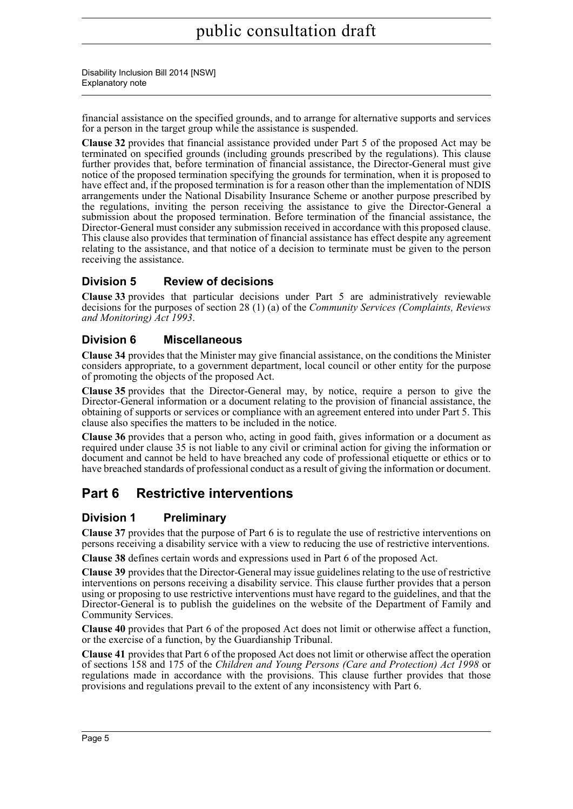financial assistance on the specified grounds, and to arrange for alternative supports and services for a person in the target group while the assistance is suspended.

**Clause 32** provides that financial assistance provided under Part 5 of the proposed Act may be terminated on specified grounds (including grounds prescribed by the regulations). This clause further provides that, before termination of financial assistance, the Director-General must give notice of the proposed termination specifying the grounds for termination, when it is proposed to have effect and, if the proposed termination is for a reason other than the implementation of NDIS arrangements under the National Disability Insurance Scheme or another purpose prescribed by the regulations, inviting the person receiving the assistance to give the Director-General a submission about the proposed termination. Before termination of the financial assistance, the Director-General must consider any submission received in accordance with this proposed clause. This clause also provides that termination of financial assistance has effect despite any agreement relating to the assistance, and that notice of a decision to terminate must be given to the person receiving the assistance.

#### **Division 5 Review of decisions**

**Clause 33** provides that particular decisions under Part 5 are administratively reviewable decisions for the purposes of section 28 (1) (a) of the *Community Services (Complaints, Reviews and Monitoring) Act 1993*.

#### **Division 6 Miscellaneous**

**Clause 34** provides that the Minister may give financial assistance, on the conditions the Minister considers appropriate, to a government department, local council or other entity for the purpose of promoting the objects of the proposed Act.

**Clause 35** provides that the Director-General may, by notice, require a person to give the Director-General information or a document relating to the provision of financial assistance, the obtaining of supports or services or compliance with an agreement entered into under Part 5. This clause also specifies the matters to be included in the notice.

**Clause 36** provides that a person who, acting in good faith, gives information or a document as required under clause 35 is not liable to any civil or criminal action for giving the information or document and cannot be held to have breached any code of professional etiquette or ethics or to have breached standards of professional conduct as a result of giving the information or document.

## **Part 6 Restrictive interventions**

#### **Division 1 Preliminary**

**Clause 37** provides that the purpose of Part 6 is to regulate the use of restrictive interventions on persons receiving a disability service with a view to reducing the use of restrictive interventions.

**Clause 38** defines certain words and expressions used in Part 6 of the proposed Act.

**Clause 39** provides that the Director-General may issue guidelines relating to the use of restrictive interventions on persons receiving a disability service. This clause further provides that a person using or proposing to use restrictive interventions must have regard to the guidelines, and that the Director-General is to publish the guidelines on the website of the Department of Family and Community Services.

**Clause 40** provides that Part 6 of the proposed Act does not limit or otherwise affect a function, or the exercise of a function, by the Guardianship Tribunal.

**Clause 41** provides that Part 6 of the proposed Act does not limit or otherwise affect the operation of sections 158 and 175 of the *Children and Young Persons (Care and Protection) Act 1998* or regulations made in accordance with the provisions. This clause further provides that those provisions and regulations prevail to the extent of any inconsistency with Part 6.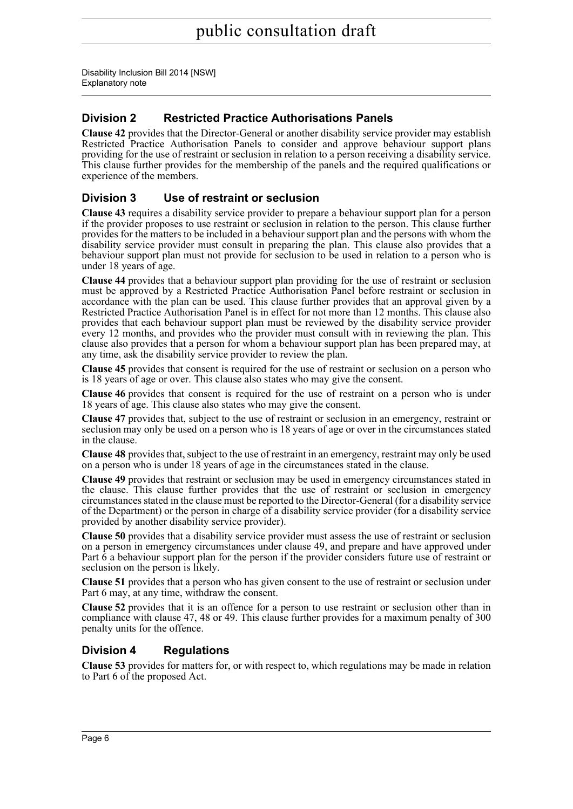### **Division 2 Restricted Practice Authorisations Panels**

**Clause 42** provides that the Director-General or another disability service provider may establish Restricted Practice Authorisation Panels to consider and approve behaviour support plans providing for the use of restraint or seclusion in relation to a person receiving a disability service. This clause further provides for the membership of the panels and the required qualifications or experience of the members.

#### **Division 3 Use of restraint or seclusion**

**Clause 43** requires a disability service provider to prepare a behaviour support plan for a person if the provider proposes to use restraint or seclusion in relation to the person. This clause further provides for the matters to be included in a behaviour support plan and the persons with whom the disability service provider must consult in preparing the plan. This clause also provides that a behaviour support plan must not provide for seclusion to be used in relation to a person who is under 18 years of age.

**Clause 44** provides that a behaviour support plan providing for the use of restraint or seclusion must be approved by a Restricted Practice Authorisation Panel before restraint or seclusion in accordance with the plan can be used. This clause further provides that an approval given by a Restricted Practice Authorisation Panel is in effect for not more than 12 months. This clause also provides that each behaviour support plan must be reviewed by the disability service provider every 12 months, and provides who the provider must consult with in reviewing the plan. This clause also provides that a person for whom a behaviour support plan has been prepared may, at any time, ask the disability service provider to review the plan.

**Clause 45** provides that consent is required for the use of restraint or seclusion on a person who is 18 years of age or over. This clause also states who may give the consent.

**Clause 46** provides that consent is required for the use of restraint on a person who is under 18 years of age. This clause also states who may give the consent.

**Clause 47** provides that, subject to the use of restraint or seclusion in an emergency, restraint or seclusion may only be used on a person who is 18 years of age or over in the circumstances stated in the clause.

**Clause 48** provides that, subject to the use of restraint in an emergency, restraint may only be used on a person who is under 18 years of age in the circumstances stated in the clause.

**Clause 49** provides that restraint or seclusion may be used in emergency circumstances stated in the clause. This clause further provides that the use of restraint or seclusion in emergency circumstances stated in the clause must be reported to the Director-General (for a disability service of the Department) or the person in charge of a disability service provider (for a disability service provided by another disability service provider).

**Clause 50** provides that a disability service provider must assess the use of restraint or seclusion on a person in emergency circumstances under clause 49, and prepare and have approved under Part  $\hat{6}$  a behaviour support plan for the person if the provider considers future use of restraint or seclusion on the person is likely.

**Clause 51** provides that a person who has given consent to the use of restraint or seclusion under Part 6 may, at any time, withdraw the consent.

**Clause 52** provides that it is an offence for a person to use restraint or seclusion other than in compliance with clause 47, 48 or 49. This clause further provides for a maximum penalty of 300 penalty units for the offence.

#### **Division 4 Regulations**

**Clause 53** provides for matters for, or with respect to, which regulations may be made in relation to Part 6 of the proposed Act.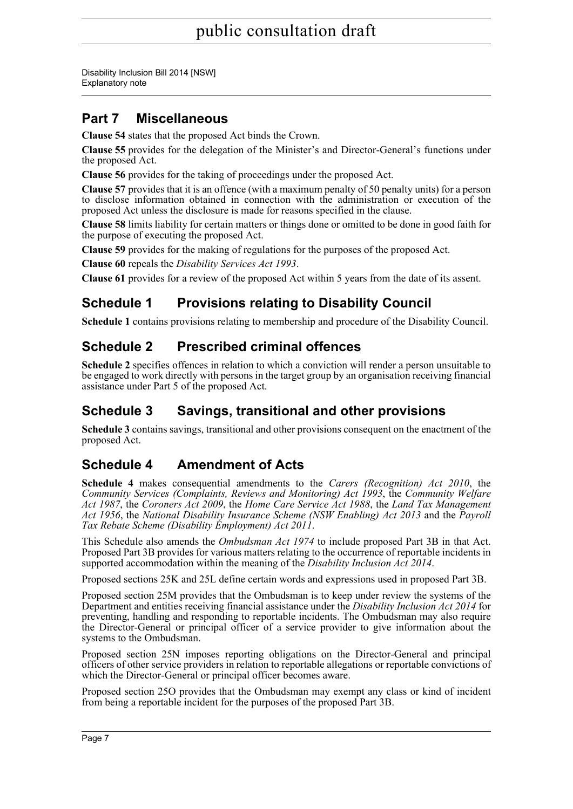Disability Inclusion Bill 2014 [NSW] Explanatory note

## **Part 7 Miscellaneous**

**Clause 54** states that the proposed Act binds the Crown.

**Clause 55** provides for the delegation of the Minister's and Director-General's functions under the proposed Act.

**Clause 56** provides for the taking of proceedings under the proposed Act.

**Clause 57** provides that it is an offence (with a maximum penalty of 50 penalty units) for a person to disclose information obtained in connection with the administration or execution of the proposed Act unless the disclosure is made for reasons specified in the clause.

**Clause 58** limits liability for certain matters or things done or omitted to be done in good faith for the purpose of executing the proposed Act.

**Clause 59** provides for the making of regulations for the purposes of the proposed Act.

**Clause 60** repeals the *Disability Services Act 1993*.

**Clause 61** provides for a review of the proposed Act within 5 years from the date of its assent.

## **Schedule 1 Provisions relating to Disability Council**

**Schedule 1** contains provisions relating to membership and procedure of the Disability Council.

## **Schedule 2 Prescribed criminal offences**

**Schedule 2** specifies offences in relation to which a conviction will render a person unsuitable to be engaged to work directly with persons in the target group by an organisation receiving financial assistance under Part 5 of the proposed Act.

## **Schedule 3 Savings, transitional and other provisions**

**Schedule 3** contains savings, transitional and other provisions consequent on the enactment of the proposed Act.

## **Schedule 4 Amendment of Acts**

**Schedule 4** makes consequential amendments to the *Carers (Recognition) Act 2010*, the *Community Services (Complaints, Reviews and Monitoring) Act 1993*, the *Community Welfare Act 1987*, the *Coroners Act 2009*, the *Home Care Service Act 1988*, the *Land Tax Management Act 1956*, the *National Disability Insurance Scheme (NSW Enabling) Act 2013* and the *Payroll Tax Rebate Scheme (Disability Employment) Act 2011*.

This Schedule also amends the *Ombudsman Act 1974* to include proposed Part 3B in that Act. Proposed Part 3B provides for various matters relating to the occurrence of reportable incidents in supported accommodation within the meaning of the *Disability Inclusion Act 2014*.

Proposed sections 25K and 25L define certain words and expressions used in proposed Part 3B.

Proposed section 25M provides that the Ombudsman is to keep under review the systems of the Department and entities receiving financial assistance under the *Disability Inclusion Act 2014* for preventing, handling and responding to reportable incidents. The Ombudsman may also require the Director-General or principal officer of a service provider to give information about the systems to the Ombudsman.

Proposed section 25N imposes reporting obligations on the Director-General and principal officers of other service providers in relation to reportable allegations or reportable convictions of which the Director-General or principal officer becomes aware.

Proposed section 25O provides that the Ombudsman may exempt any class or kind of incident from being a reportable incident for the purposes of the proposed Part 3B.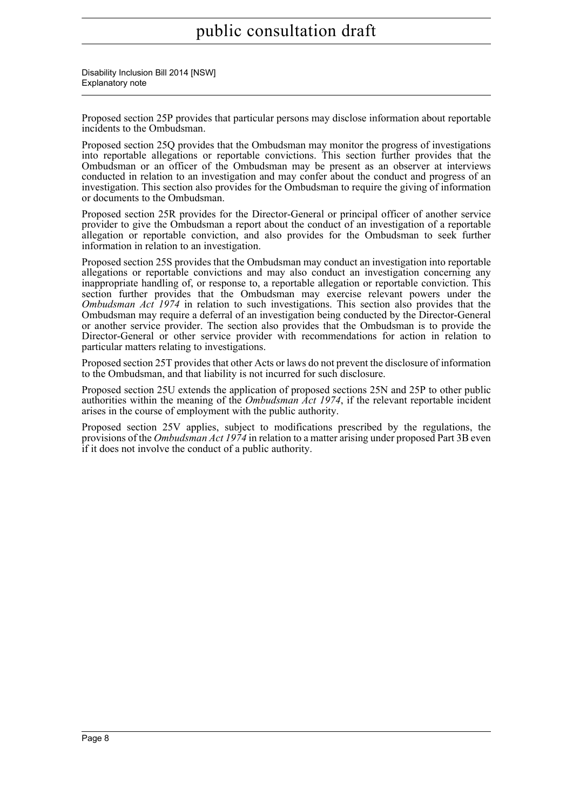Disability Inclusion Bill 2014 [NSW] Explanatory note

Proposed section 25P provides that particular persons may disclose information about reportable incidents to the Ombudsman.

Proposed section 25Q provides that the Ombudsman may monitor the progress of investigations into reportable allegations or reportable convictions. This section further provides that the Ombudsman or an officer of the Ombudsman may be present as an observer at interviews conducted in relation to an investigation and may confer about the conduct and progress of an investigation. This section also provides for the Ombudsman to require the giving of information or documents to the Ombudsman.

Proposed section 25R provides for the Director-General or principal officer of another service provider to give the Ombudsman a report about the conduct of an investigation of a reportable allegation or reportable conviction, and also provides for the Ombudsman to seek further information in relation to an investigation.

Proposed section 25S provides that the Ombudsman may conduct an investigation into reportable allegations or reportable convictions and may also conduct an investigation concerning any inappropriate handling of, or response to, a reportable allegation or reportable conviction. This section further provides that the Ombudsman may exercise relevant powers under the *Ombudsman Act 1974* in relation to such investigations. This section also provides that the Ombudsman may require a deferral of an investigation being conducted by the Director-General or another service provider. The section also provides that the Ombudsman is to provide the Director-General or other service provider with recommendations for action in relation to particular matters relating to investigations.

Proposed section 25T provides that other Acts or laws do not prevent the disclosure of information to the Ombudsman, and that liability is not incurred for such disclosure.

Proposed section 25U extends the application of proposed sections 25N and 25P to other public authorities within the meaning of the *Ombudsman Act 1974*, if the relevant reportable incident arises in the course of employment with the public authority.

Proposed section 25V applies, subject to modifications prescribed by the regulations, the provisions of the *Ombudsman Act 1974* in relation to a matter arising under proposed Part 3B even if it does not involve the conduct of a public authority.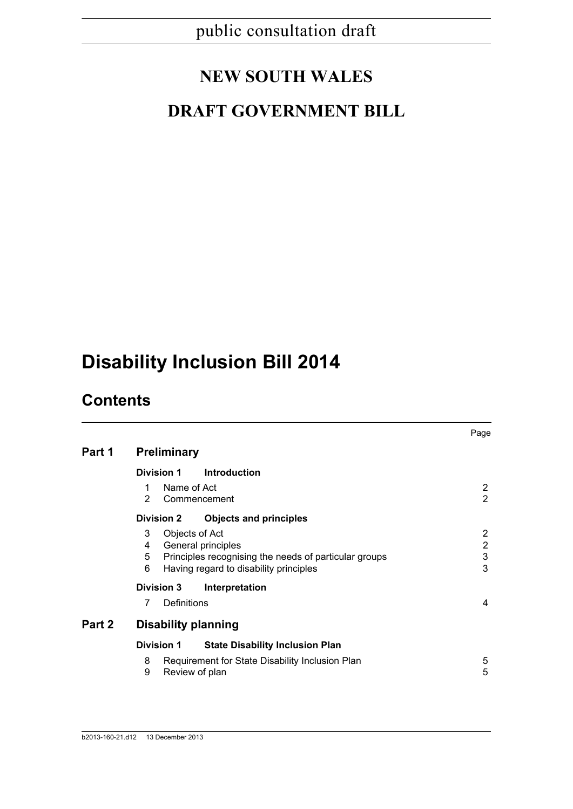## **NEW SOUTH WALES**

## **DRAFT GOVERNMENT BILL**

# **Disability Inclusion Bill 2014**

## **Contents**

|        |                                                                                                                                                             |                                                                   | Page   |  |  |
|--------|-------------------------------------------------------------------------------------------------------------------------------------------------------------|-------------------------------------------------------------------|--------|--|--|
| Part 1 | <b>Preliminary</b>                                                                                                                                          |                                                                   |        |  |  |
|        | Division 1                                                                                                                                                  | <b>Introduction</b>                                               |        |  |  |
|        | Name of Act<br>1<br>$\overline{2}$<br>Commencement                                                                                                          |                                                                   |        |  |  |
|        | <b>Division 2</b>                                                                                                                                           | <b>Objects and principles</b>                                     |        |  |  |
|        | Objects of Act<br>3<br>General principles<br>4<br>5<br>Principles recognising the needs of particular groups<br>Having regard to disability principles<br>6 |                                                                   |        |  |  |
|        | <b>Division 3</b><br>Interpretation                                                                                                                         |                                                                   |        |  |  |
|        | Definitions<br>7                                                                                                                                            |                                                                   | 4      |  |  |
| Part 2 | <b>Disability planning</b>                                                                                                                                  |                                                                   |        |  |  |
|        | <b>Division 1</b><br><b>State Disability Inclusion Plan</b>                                                                                                 |                                                                   |        |  |  |
|        | 8<br>9                                                                                                                                                      | Requirement for State Disability Inclusion Plan<br>Review of plan | 5<br>5 |  |  |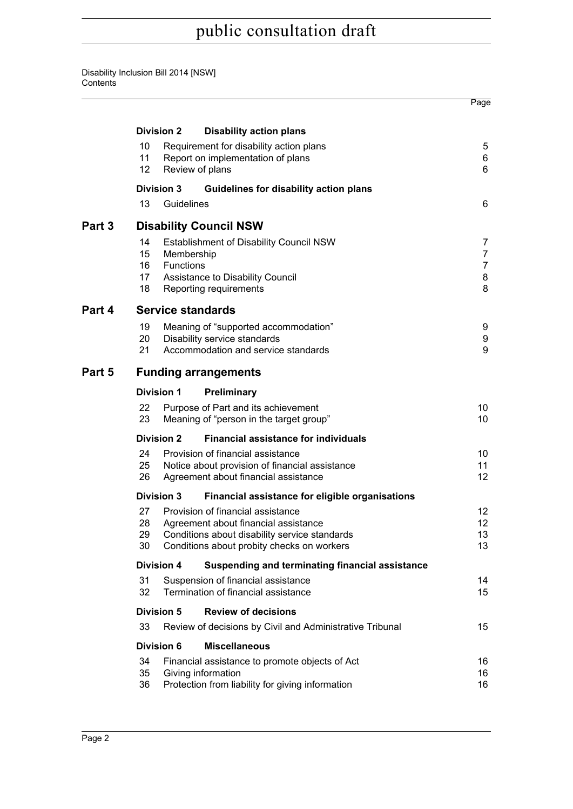Disability Inclusion Bill 2014 [NSW] **Contents** 

**Contract Contract** 

|        |                                                                                                                                                                                                  |                                                                                                                             |                                                                                                                          | Page                                            |  |  |
|--------|--------------------------------------------------------------------------------------------------------------------------------------------------------------------------------------------------|-----------------------------------------------------------------------------------------------------------------------------|--------------------------------------------------------------------------------------------------------------------------|-------------------------------------------------|--|--|
|        |                                                                                                                                                                                                  | <b>Division 2</b>                                                                                                           | <b>Disability action plans</b>                                                                                           |                                                 |  |  |
|        | 10<br>11<br>12                                                                                                                                                                                   | Requirement for disability action plans<br>Report on implementation of plans<br>Review of plans                             |                                                                                                                          | 5<br>6<br>6                                     |  |  |
|        | <b>Division 3</b>                                                                                                                                                                                |                                                                                                                             | Guidelines for disability action plans                                                                                   |                                                 |  |  |
|        | 13                                                                                                                                                                                               | Guidelines                                                                                                                  |                                                                                                                          | 6                                               |  |  |
| Part 3 | <b>Disability Council NSW</b>                                                                                                                                                                    |                                                                                                                             |                                                                                                                          |                                                 |  |  |
|        | 14<br>15<br>16<br>17 <sup>2</sup><br>18                                                                                                                                                          | Membership<br><b>Functions</b>                                                                                              | <b>Establishment of Disability Council NSW</b><br>Assistance to Disability Council<br>Reporting requirements             | 7<br>$\overline{7}$<br>$\overline{7}$<br>8<br>8 |  |  |
| Part 4 | <b>Service standards</b>                                                                                                                                                                         |                                                                                                                             |                                                                                                                          |                                                 |  |  |
|        | 19<br>20<br>21                                                                                                                                                                                   |                                                                                                                             | Meaning of "supported accommodation"<br>Disability service standards<br>Accommodation and service standards              | 9<br>9<br>9                                     |  |  |
| Part 5 | <b>Funding arrangements</b>                                                                                                                                                                      |                                                                                                                             |                                                                                                                          |                                                 |  |  |
|        | <b>Division 1</b>                                                                                                                                                                                |                                                                                                                             | <b>Preliminary</b>                                                                                                       |                                                 |  |  |
|        | 22<br>23                                                                                                                                                                                         |                                                                                                                             | Purpose of Part and its achievement<br>Meaning of "person in the target group"                                           | 10<br>10                                        |  |  |
|        | <b>Division 2</b>                                                                                                                                                                                |                                                                                                                             | <b>Financial assistance for individuals</b>                                                                              |                                                 |  |  |
|        | 24<br>25<br>26                                                                                                                                                                                   | Provision of financial assistance<br>Notice about provision of financial assistance<br>Agreement about financial assistance |                                                                                                                          |                                                 |  |  |
|        | <b>Division 3</b>                                                                                                                                                                                |                                                                                                                             | Financial assistance for eligible organisations                                                                          |                                                 |  |  |
|        | 27<br>Provision of financial assistance<br>28<br>Agreement about financial assistance<br>Conditions about disability service standards<br>29<br>30<br>Conditions about probity checks on workers |                                                                                                                             |                                                                                                                          | 12<br>12<br>13<br>13                            |  |  |
|        | Division 4                                                                                                                                                                                       |                                                                                                                             | Suspending and terminating financial assistance                                                                          |                                                 |  |  |
|        | 31<br>Suspension of financial assistance<br>32<br>Termination of financial assistance                                                                                                            |                                                                                                                             |                                                                                                                          | 14<br>15                                        |  |  |
|        | Division 5                                                                                                                                                                                       |                                                                                                                             | <b>Review of decisions</b>                                                                                               |                                                 |  |  |
|        | 33                                                                                                                                                                                               |                                                                                                                             | Review of decisions by Civil and Administrative Tribunal                                                                 | 15                                              |  |  |
|        | <b>Division 6</b>                                                                                                                                                                                |                                                                                                                             | <b>Miscellaneous</b>                                                                                                     |                                                 |  |  |
|        | 34<br>35<br>36                                                                                                                                                                                   |                                                                                                                             | Financial assistance to promote objects of Act<br>Giving information<br>Protection from liability for giving information | 16<br>16<br>16                                  |  |  |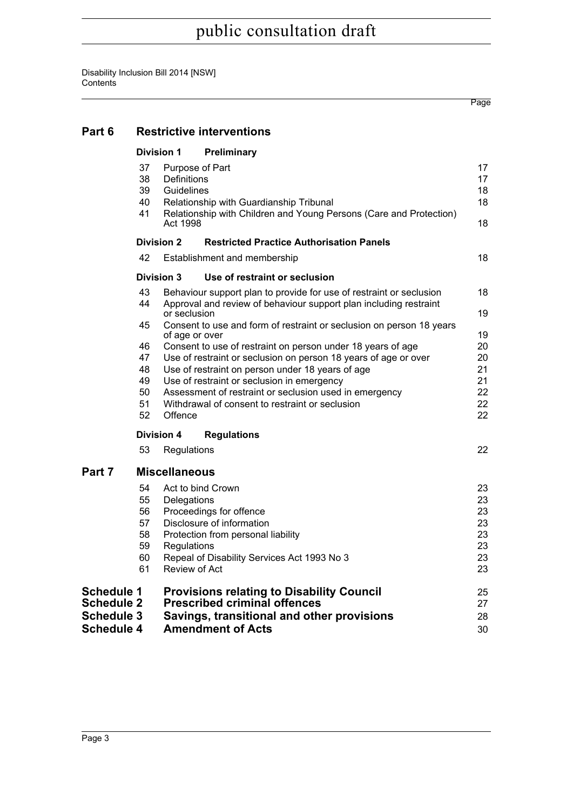**[Part 6 Restrictive interventions](#page-27-0) [Division 1 Preliminary](#page-27-1)** [37 Purpose of Part 17](#page-27-2) [38 Definitions 17](#page-27-3) [39 Guidelines 18](#page-28-0) [40 Relationship with Guardianship Tribunal 18](#page-28-1) [41 Relationship with Children and Young Persons \(Care and Protection\)](#page-28-2) Act 1998 **18 [Division 2 Restricted Practice Authorisation Panels](#page-28-3)** [42 Establishment and membership 18](#page-28-4) **[Division 3 Use of restraint or seclusion](#page-28-5)** [43 Behaviour support plan to provide for use of restraint or seclusion 18](#page-28-6) [44 Approval and review of behaviour support plan including restraint](#page-29-0)

#### or seclusion and the contract of the contract of the contract of the contract of the contract of the contract of the contract of the contract of the contract of the contract of the contract of the contract of the contract [45 Consent to use and form of restraint or seclusion on person 18 years](#page-29-1) [of age or over 19](#page-29-1) [46 Consent to use of restraint on person under 18 years of age 20](#page-30-0) [47 Use of restraint or seclusion on person 18 years of age or over 20](#page-30-1) [48 Use of restraint on person under 18 years of age 21](#page-31-0) [49 Use of restraint or seclusion in emergency 21](#page-31-1)

| 50 | Assessment of restraint or seclusion used in emergency |  |
|----|--------------------------------------------------------|--|
| 51 | Withdrawal of consent to restraint or seclusion        |  |

[52 Offence 22](#page-32-2)

**[Division 4 Regulations](#page-32-3)**

[53 Regulations 22](#page-32-4)

Page

#### **[Part 7 Miscellaneous](#page-33-0)**

| <b>Schedule 3</b> | Savings, transitional and other provisions       | 28                                  |
|-------------------|--------------------------------------------------|-------------------------------------|
|                   | <b>Provisions relating to Disability Council</b> | 25<br>27                            |
| 61                | Review of Act                                    | 23                                  |
| 60                | Repeal of Disability Services Act 1993 No 3      | 23                                  |
| 59                | Regulations                                      | 23                                  |
| 58                | Protection from personal liability               | 23                                  |
| 57                | Disclosure of information                        | 23                                  |
| 56                | Proceedings for offence                          | 23                                  |
| 55                | Delegations                                      | 23                                  |
| 54                | Act to bind Crown                                | 23                                  |
|                   | <b>Schedule 1</b><br><b>Schedule 2</b>           | <b>Prescribed criminal offences</b> |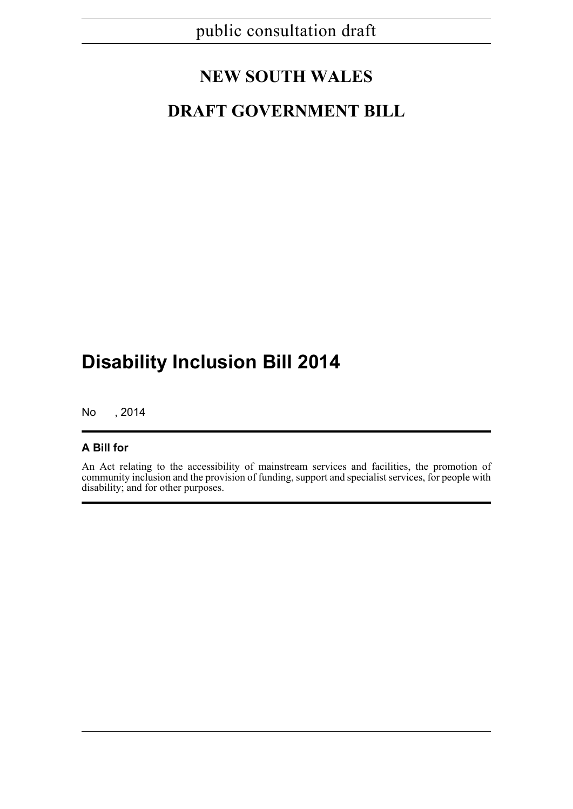## **NEW SOUTH WALES**

## **DRAFT GOVERNMENT BILL**

## **Disability Inclusion Bill 2014**

No , 2014

#### **A Bill for**

An Act relating to the accessibility of mainstream services and facilities, the promotion of community inclusion and the provision of funding, support and specialist services, for people with disability; and for other purposes.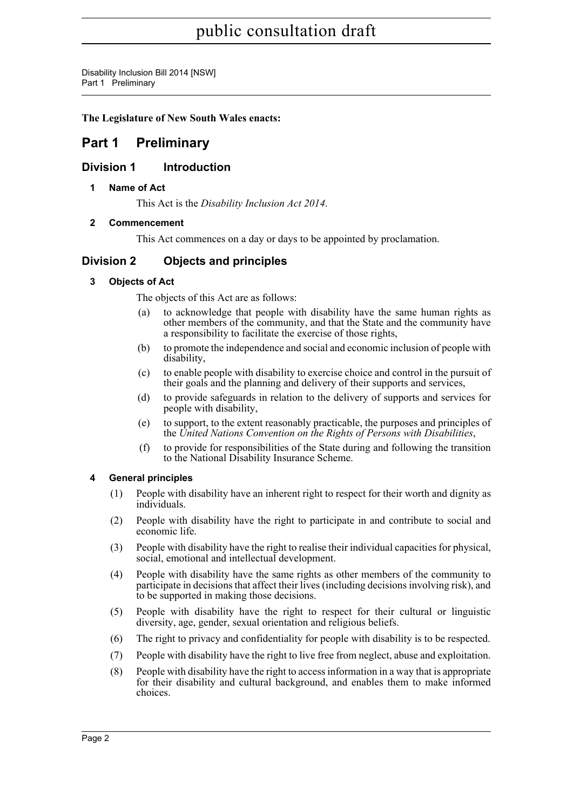Disability Inclusion Bill 2014 [NSW] Part 1 Preliminary

**The Legislature of New South Wales enacts:**

### <span id="page-12-0"></span>**Part 1 Preliminary**

#### <span id="page-12-2"></span><span id="page-12-1"></span>**Division 1 Introduction**

#### **1 Name of Act**

This Act is the *Disability Inclusion Act 2014*.

#### <span id="page-12-3"></span>**2 Commencement**

This Act commences on a day or days to be appointed by proclamation.

#### <span id="page-12-5"></span><span id="page-12-4"></span>**Division 2 Objects and principles**

#### **3 Objects of Act**

The objects of this Act are as follows:

- to acknowledge that people with disability have the same human rights as other members of the community, and that the State and the community have a responsibility to facilitate the exercise of those rights,
- (b) to promote the independence and social and economic inclusion of people with disability,
- (c) to enable people with disability to exercise choice and control in the pursuit of their goals and the planning and delivery of their supports and services,
- (d) to provide safeguards in relation to the delivery of supports and services for people with disability,
- (e) to support, to the extent reasonably practicable, the purposes and principles of the *United Nations Convention on the Rights of Persons with Disabilities*,
- (f) to provide for responsibilities of the State during and following the transition to the National Disability Insurance Scheme.

#### <span id="page-12-6"></span>**4 General principles**

- (1) People with disability have an inherent right to respect for their worth and dignity as individuals.
- (2) People with disability have the right to participate in and contribute to social and economic life.
- (3) People with disability have the right to realise their individual capacities for physical, social, emotional and intellectual development.
- (4) People with disability have the same rights as other members of the community to participate in decisions that affect their lives (including decisions involving risk), and to be supported in making those decisions.
- (5) People with disability have the right to respect for their cultural or linguistic diversity, age, gender, sexual orientation and religious beliefs.
- (6) The right to privacy and confidentiality for people with disability is to be respected.
- (7) People with disability have the right to live free from neglect, abuse and exploitation.
- (8) People with disability have the right to access information in a way that is appropriate for their disability and cultural background, and enables them to make informed choices.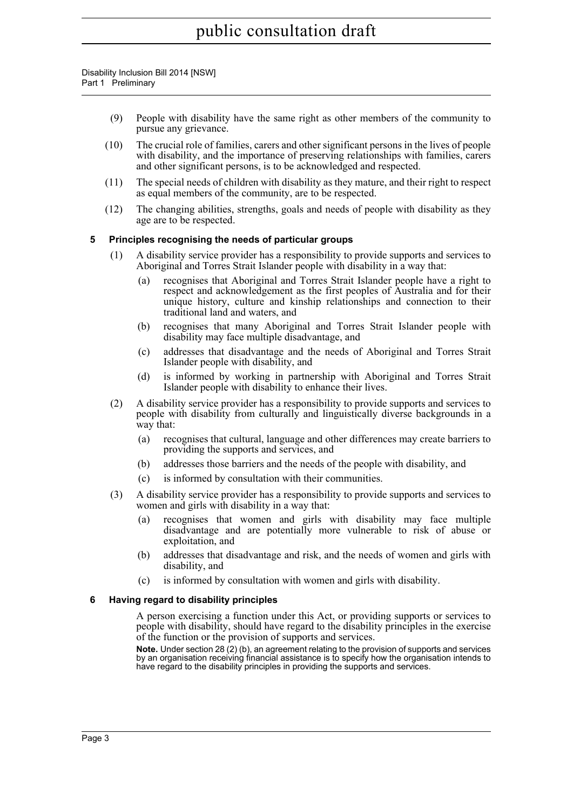Disability Inclusion Bill 2014 [NSW] Part 1 Preliminary

- (9) People with disability have the same right as other members of the community to pursue any grievance.
- (10) The crucial role of families, carers and other significant persons in the lives of people with disability, and the importance of preserving relationships with families, carers and other significant persons, is to be acknowledged and respected.
- (11) The special needs of children with disability as they mature, and their right to respect as equal members of the community, are to be respected.
- (12) The changing abilities, strengths, goals and needs of people with disability as they age are to be respected.

#### <span id="page-13-0"></span>**5 Principles recognising the needs of particular groups**

- (1) A disability service provider has a responsibility to provide supports and services to Aboriginal and Torres Strait Islander people with disability in a way that:
	- (a) recognises that Aboriginal and Torres Strait Islander people have a right to respect and acknowledgement as the first peoples of Australia and for their unique history, culture and kinship relationships and connection to their traditional land and waters, and
	- (b) recognises that many Aboriginal and Torres Strait Islander people with disability may face multiple disadvantage, and
	- (c) addresses that disadvantage and the needs of Aboriginal and Torres Strait Islander people with disability, and
	- (d) is informed by working in partnership with Aboriginal and Torres Strait Islander people with disability to enhance their lives.
- (2) A disability service provider has a responsibility to provide supports and services to people with disability from culturally and linguistically diverse backgrounds in a way that:
	- (a) recognises that cultural, language and other differences may create barriers to providing the supports and services, and
	- (b) addresses those barriers and the needs of the people with disability, and
	- (c) is informed by consultation with their communities.
- (3) A disability service provider has a responsibility to provide supports and services to women and girls with disability in a way that:
	- (a) recognises that women and girls with disability may face multiple disadvantage and are potentially more vulnerable to risk of abuse or exploitation, and
	- (b) addresses that disadvantage and risk, and the needs of women and girls with disability, and
	- (c) is informed by consultation with women and girls with disability.

#### <span id="page-13-1"></span>**6 Having regard to disability principles**

A person exercising a function under this Act, or providing supports or services to people with disability, should have regard to the disability principles in the exercise of the function or the provision of supports and services.

**Note.** Under section 28 (2) (b), an agreement relating to the provision of supports and services by an organisation receiving financial assistance is to specify how the organisation intends to have regard to the disability principles in providing the supports and services.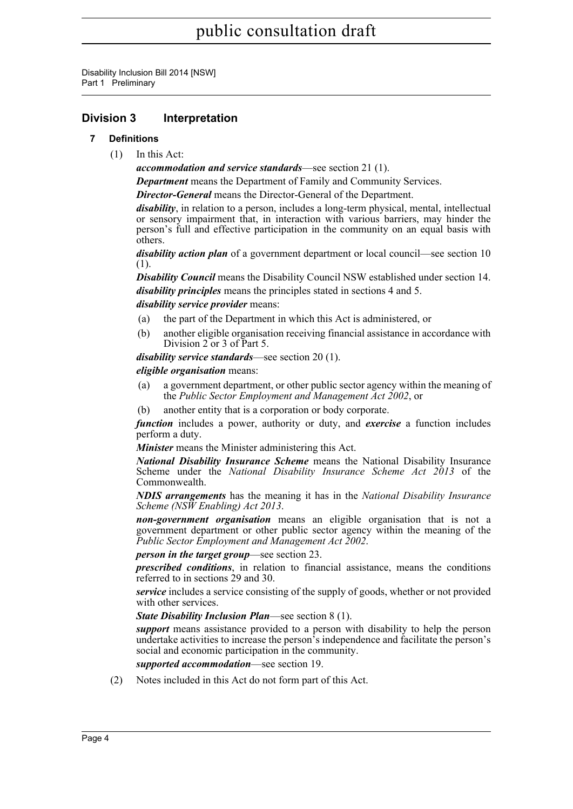Disability Inclusion Bill 2014 [NSW] Part 1 Preliminary

#### <span id="page-14-1"></span><span id="page-14-0"></span>**Division 3 Interpretation**

#### **7 Definitions**

(1) In this Act:

*accommodation and service standards*—see section 21 (1).

*Department* means the Department of Family and Community Services.

*Director-General* means the Director-General of the Department.

*disability*, in relation to a person, includes a long-term physical, mental, intellectual or sensory impairment that, in interaction with various barriers, may hinder the person's full and effective participation in the community on an equal basis with others.

*disability action plan* of a government department or local council—see section 10 (1).

*Disability Council* means the Disability Council NSW established under section 14. *disability principles* means the principles stated in sections 4 and 5.

#### *disability service provider* means:

- (a) the part of the Department in which this Act is administered, or
- (b) another eligible organisation receiving financial assistance in accordance with Division 2 or 3 of Part 5.

*disability service standards*—see section 20 (1).

#### *eligible organisation* means:

- (a) a government department, or other public sector agency within the meaning of the *Public Sector Employment and Management Act 2002*, or
- (b) another entity that is a corporation or body corporate.

*function* includes a power, authority or duty, and *exercise* a function includes perform a duty.

*Minister* means the Minister administering this Act.

*National Disability Insurance Scheme* means the National Disability Insurance Scheme under the *National Disability Insurance Scheme Act 2013* of the Commonwealth.

*NDIS arrangements* has the meaning it has in the *National Disability Insurance Scheme (NSW Enabling) Act 2013*.

*non-government organisation* means an eligible organisation that is not a government department or other public sector agency within the meaning of the *Public Sector Employment and Management Act 2002*.

*person in the target group*—see section 23.

*prescribed conditions*, in relation to financial assistance, means the conditions referred to in sections 29 and 30.

*service* includes a service consisting of the supply of goods, whether or not provided with other services.

*State Disability Inclusion Plan*—see section 8 (1).

*support* means assistance provided to a person with disability to help the person undertake activities to increase the person's independence and facilitate the person's social and economic participation in the community.

*supported accommodation*—see section 19.

(2) Notes included in this Act do not form part of this Act.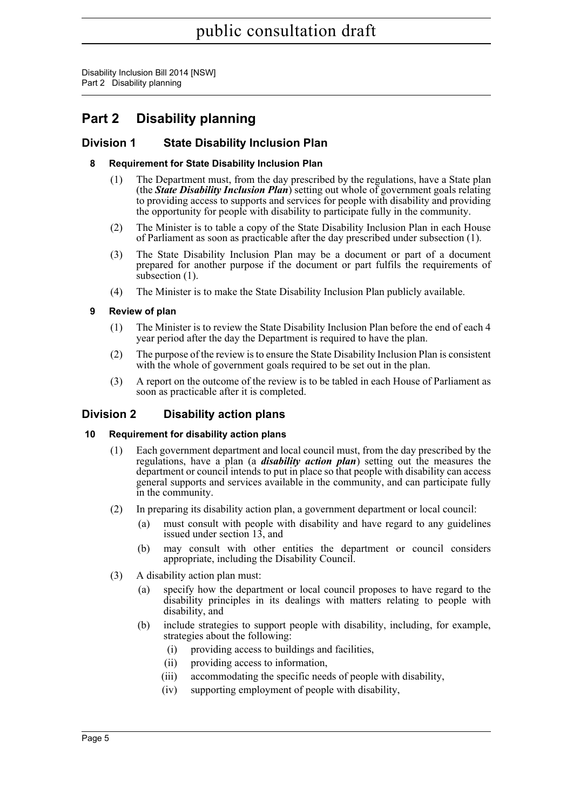Disability Inclusion Bill 2014 [NSW] Part 2 Disability planning

## <span id="page-15-0"></span>**Part 2 Disability planning**

#### <span id="page-15-2"></span><span id="page-15-1"></span>**Division 1 State Disability Inclusion Plan**

#### **8 Requirement for State Disability Inclusion Plan**

- (1) The Department must, from the day prescribed by the regulations, have a State plan (the *State Disability Inclusion Plan*) setting out whole of government goals relating to providing access to supports and services for people with disability and providing the opportunity for people with disability to participate fully in the community.
- (2) The Minister is to table a copy of the State Disability Inclusion Plan in each House of Parliament as soon as practicable after the day prescribed under subsection (1).
- (3) The State Disability Inclusion Plan may be a document or part of a document prepared for another purpose if the document or part fulfils the requirements of subsection (1).
- (4) The Minister is to make the State Disability Inclusion Plan publicly available.

#### <span id="page-15-3"></span>**9 Review of plan**

- (1) The Minister is to review the State Disability Inclusion Plan before the end of each 4 year period after the day the Department is required to have the plan.
- (2) The purpose of the review is to ensure the State Disability Inclusion Plan is consistent with the whole of government goals required to be set out in the plan.
- (3) A report on the outcome of the review is to be tabled in each House of Parliament as soon as practicable after it is completed.

#### <span id="page-15-4"></span>**Division 2 Disability action plans**

#### <span id="page-15-5"></span>**10 Requirement for disability action plans**

- (1) Each government department and local council must, from the day prescribed by the regulations, have a plan (a *disability action plan*) setting out the measures the department or council intends to put in place so that people with disability can access general supports and services available in the community, and can participate fully in the community.
- (2) In preparing its disability action plan, a government department or local council:
	- (a) must consult with people with disability and have regard to any guidelines issued under section 13, and
	- (b) may consult with other entities the department or council considers appropriate, including the Disability Council.
- (3) A disability action plan must:
	- (a) specify how the department or local council proposes to have regard to the disability principles in its dealings with matters relating to people with disability, and
	- (b) include strategies to support people with disability, including, for example, strategies about the following:
		- (i) providing access to buildings and facilities,
		- (ii) providing access to information,
		- (iii) accommodating the specific needs of people with disability,
		- (iv) supporting employment of people with disability,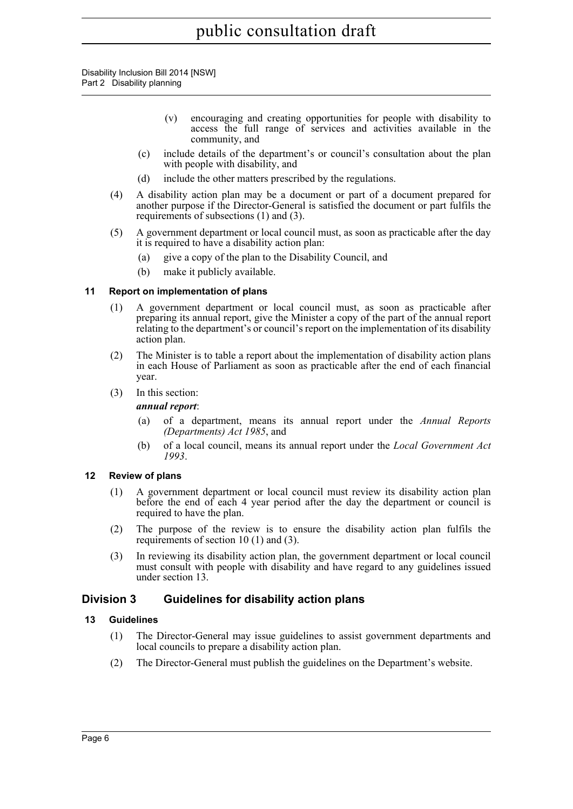Disability Inclusion Bill 2014 [NSW] Part 2 Disability planning

- (v) encouraging and creating opportunities for people with disability to access the full range of services and activities available in the community, and
- (c) include details of the department's or council's consultation about the plan with people with disability, and
- (d) include the other matters prescribed by the regulations.
- (4) A disability action plan may be a document or part of a document prepared for another purpose if the Director-General is satisfied the document or part fulfils the requirements of subsections (1) and (3).
- (5) A government department or local council must, as soon as practicable after the day it is required to have a disability action plan:
	- (a) give a copy of the plan to the Disability Council, and
	- (b) make it publicly available.

#### <span id="page-16-0"></span>**11 Report on implementation of plans**

- (1) A government department or local council must, as soon as practicable after preparing its annual report, give the Minister a copy of the part of the annual report relating to the department's or council's report on the implementation of its disability action plan.
- (2) The Minister is to table a report about the implementation of disability action plans in each House of Parliament as soon as practicable after the end of each financial year.
- (3) In this section:

#### *annual report*:

- (a) of a department, means its annual report under the *Annual Reports (Departments) Act 1985*, and
- (b) of a local council, means its annual report under the *Local Government Act 1993*.

#### <span id="page-16-1"></span>**12 Review of plans**

- (1) A government department or local council must review its disability action plan before the end of each 4 year period after the day the department or council is required to have the plan.
- (2) The purpose of the review is to ensure the disability action plan fulfils the requirements of section 10 (1) and (3).
- (3) In reviewing its disability action plan, the government department or local council must consult with people with disability and have regard to any guidelines issued under section 13.

#### <span id="page-16-2"></span>**Division 3 Guidelines for disability action plans**

#### <span id="page-16-3"></span>**13 Guidelines**

- (1) The Director-General may issue guidelines to assist government departments and local councils to prepare a disability action plan.
- (2) The Director-General must publish the guidelines on the Department's website.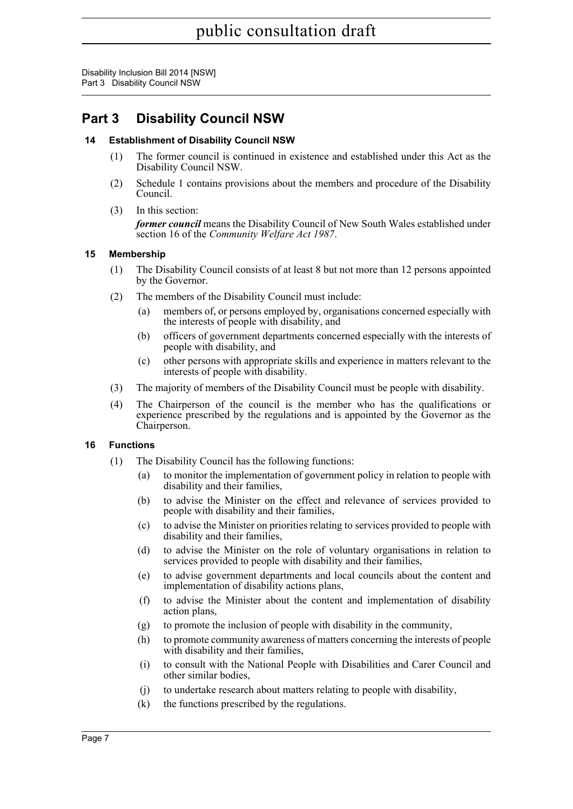Disability Inclusion Bill 2014 [NSW] Part 3 Disability Council NSW

## <span id="page-17-0"></span>**Part 3 Disability Council NSW**

#### <span id="page-17-1"></span>**14 Establishment of Disability Council NSW**

- (1) The former council is continued in existence and established under this Act as the Disability Council NSW.
- (2) Schedule 1 contains provisions about the members and procedure of the Disability Council.
- (3) In this section: *former council* means the Disability Council of New South Wales established under section 16 of the *Community Welfare Act 1987*.

#### <span id="page-17-2"></span>**15 Membership**

- (1) The Disability Council consists of at least 8 but not more than 12 persons appointed by the Governor.
- (2) The members of the Disability Council must include:
	- (a) members of, or persons employed by, organisations concerned especially with the interests of people with disability, and
	- (b) officers of government departments concerned especially with the interests of people with disability, and
	- (c) other persons with appropriate skills and experience in matters relevant to the interests of people with disability.
- (3) The majority of members of the Disability Council must be people with disability.
- (4) The Chairperson of the council is the member who has the qualifications or experience prescribed by the regulations and is appointed by the Governor as the Chairperson.

#### <span id="page-17-3"></span>**16 Functions**

- (1) The Disability Council has the following functions:
	- (a) to monitor the implementation of government policy in relation to people with disability and their families,
	- (b) to advise the Minister on the effect and relevance of services provided to people with disability and their families,
	- (c) to advise the Minister on priorities relating to services provided to people with disability and their families,
	- (d) to advise the Minister on the role of voluntary organisations in relation to services provided to people with disability and their families,
	- (e) to advise government departments and local councils about the content and implementation of disability actions plans,
	- (f) to advise the Minister about the content and implementation of disability action plans,
	- (g) to promote the inclusion of people with disability in the community,
	- (h) to promote community awareness of matters concerning the interests of people with disability and their families,
	- (i) to consult with the National People with Disabilities and Carer Council and other similar bodies,
	- (j) to undertake research about matters relating to people with disability,
	- (k) the functions prescribed by the regulations.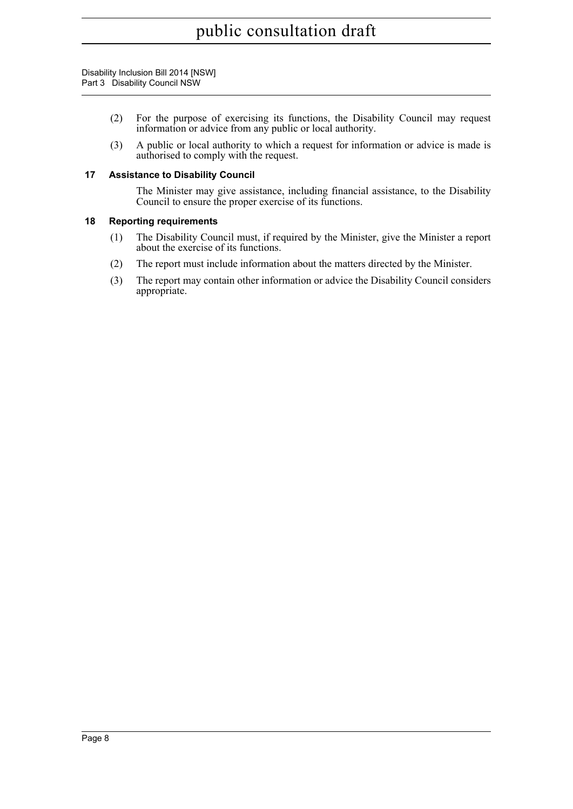Disability Inclusion Bill 2014 [NSW] Part 3 Disability Council NSW

- (2) For the purpose of exercising its functions, the Disability Council may request information or advice from any public or local authority.
- (3) A public or local authority to which a request for information or advice is made is authorised to comply with the request.

#### <span id="page-18-0"></span>**17 Assistance to Disability Council**

The Minister may give assistance, including financial assistance, to the Disability Council to ensure the proper exercise of its functions.

#### <span id="page-18-1"></span>**18 Reporting requirements**

- (1) The Disability Council must, if required by the Minister, give the Minister a report about the exercise of its functions.
- (2) The report must include information about the matters directed by the Minister.
- (3) The report may contain other information or advice the Disability Council considers appropriate.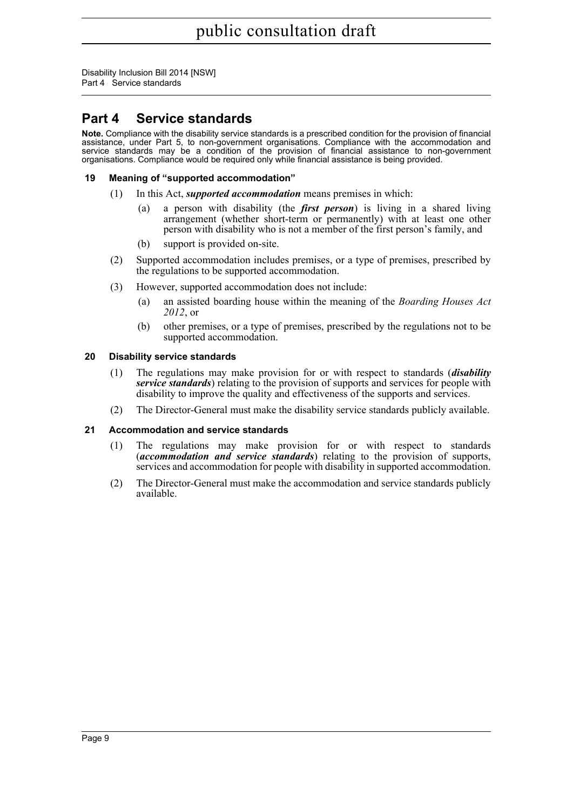Disability Inclusion Bill 2014 [NSW] Part 4 Service standards

### <span id="page-19-0"></span>**Part 4 Service standards**

**Note.** Compliance with the disability service standards is a prescribed condition for the provision of financial assistance, under Part 5, to non-government organisations. Compliance with the accommodation and service standards may be a condition of the provision of financial assistance to non-government organisations. Compliance would be required only while financial assistance is being provided.

#### <span id="page-19-1"></span>**19 Meaning of "supported accommodation"**

- (1) In this Act, *supported accommodation* means premises in which:
	- (a) a person with disability (the *first person*) is living in a shared living arrangement (whether short-term or permanently) with at least one other person with disability who is not a member of the first person's family, and
	- (b) support is provided on-site.
- (2) Supported accommodation includes premises, or a type of premises, prescribed by the regulations to be supported accommodation.
- (3) However, supported accommodation does not include:
	- (a) an assisted boarding house within the meaning of the *Boarding Houses Act 2012*, or
	- (b) other premises, or a type of premises, prescribed by the regulations not to be supported accommodation.

#### <span id="page-19-2"></span>**20 Disability service standards**

- (1) The regulations may make provision for or with respect to standards (*disability service standards*) relating to the provision of supports and services for people with disability to improve the quality and effectiveness of the supports and services.
- (2) The Director-General must make the disability service standards publicly available.

#### <span id="page-19-3"></span>**21 Accommodation and service standards**

- (1) The regulations may make provision for or with respect to standards (*accommodation and service standards*) relating to the provision of supports, services and accommodation for people with disability in supported accommodation.
- (2) The Director-General must make the accommodation and service standards publicly available.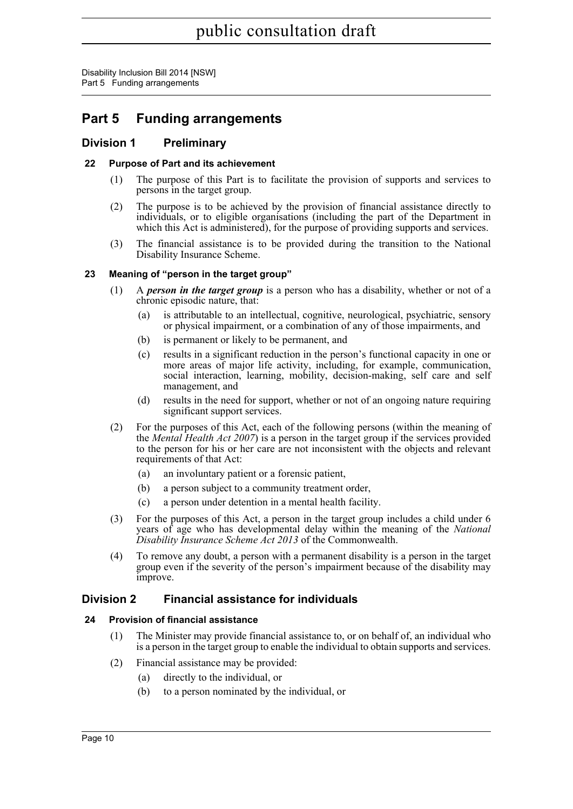### <span id="page-20-0"></span>**Part 5 Funding arrangements**

#### <span id="page-20-1"></span>**Division 1 Preliminary**

#### <span id="page-20-2"></span>**22 Purpose of Part and its achievement**

- (1) The purpose of this Part is to facilitate the provision of supports and services to persons in the target group.
- (2) The purpose is to be achieved by the provision of financial assistance directly to individuals, or to eligible organisations (including the part of the Department in which this Act is administered), for the purpose of providing supports and services.
- (3) The financial assistance is to be provided during the transition to the National Disability Insurance Scheme.

#### <span id="page-20-3"></span>**23 Meaning of "person in the target group"**

- (1) A *person in the target group* is a person who has a disability, whether or not of a chronic episodic nature, that:
	- (a) is attributable to an intellectual, cognitive, neurological, psychiatric, sensory or physical impairment, or a combination of any of those impairments, and
	- (b) is permanent or likely to be permanent, and
	- (c) results in a significant reduction in the person's functional capacity in one or more areas of major life activity, including, for example, communication, social interaction, learning, mobility, decision-making, self care and self management, and
	- (d) results in the need for support, whether or not of an ongoing nature requiring significant support services.
- (2) For the purposes of this Act, each of the following persons (within the meaning of the *Mental Health Act 2007*) is a person in the target group if the services provided to the person for his or her care are not inconsistent with the objects and relevant requirements of that Act:
	- (a) an involuntary patient or a forensic patient,
	- (b) a person subject to a community treatment order,
	- (c) a person under detention in a mental health facility.
- (3) For the purposes of this Act, a person in the target group includes a child under 6 years of age who has developmental delay within the meaning of the *National Disability Insurance Scheme Act 2013* of the Commonwealth.
- (4) To remove any doubt, a person with a permanent disability is a person in the target group even if the severity of the person's impairment because of the disability may improve.

#### <span id="page-20-4"></span>**Division 2 Financial assistance for individuals**

#### <span id="page-20-5"></span>**24 Provision of financial assistance**

- (1) The Minister may provide financial assistance to, or on behalf of, an individual who is a person in the target group to enable the individual to obtain supports and services.
- (2) Financial assistance may be provided:
	- (a) directly to the individual, or
	- (b) to a person nominated by the individual, or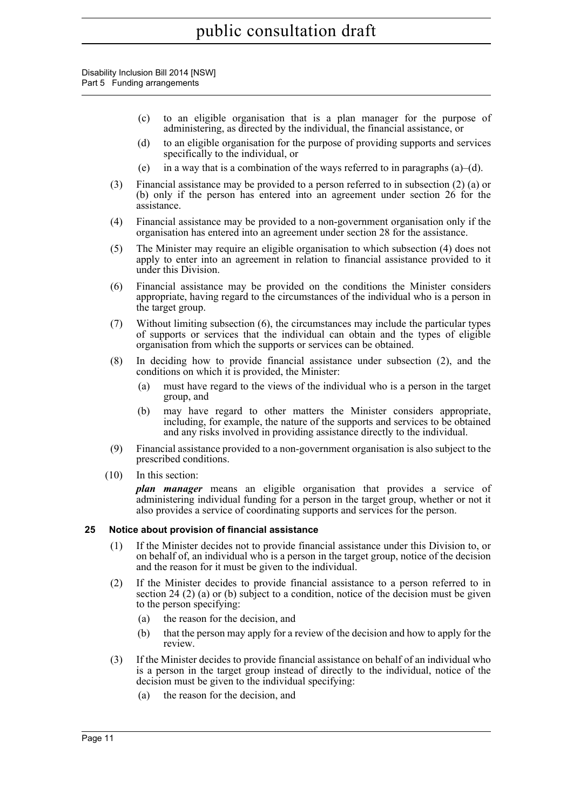Disability Inclusion Bill 2014 [NSW] Part 5 Funding arrangements

- (c) to an eligible organisation that is a plan manager for the purpose of administering, as directed by the individual, the financial assistance, or
- (d) to an eligible organisation for the purpose of providing supports and services specifically to the individual, or
- (e) in a way that is a combination of the ways referred to in paragraphs  $(a)$ –(d).
- (3) Financial assistance may be provided to a person referred to in subsection (2) (a) or (b) only if the person has entered into an agreement under section 26 for the assistance.
- (4) Financial assistance may be provided to a non-government organisation only if the organisation has entered into an agreement under section 28 for the assistance.
- (5) The Minister may require an eligible organisation to which subsection (4) does not apply to enter into an agreement in relation to financial assistance provided to it under this Division.
- (6) Financial assistance may be provided on the conditions the Minister considers appropriate, having regard to the circumstances of the individual who is a person in the target group.
- (7) Without limiting subsection (6), the circumstances may include the particular types of supports or services that the individual can obtain and the types of eligible organisation from which the supports or services can be obtained.
- (8) In deciding how to provide financial assistance under subsection (2), and the conditions on which it is provided, the Minister:
	- (a) must have regard to the views of the individual who is a person in the target group, and
	- (b) may have regard to other matters the Minister considers appropriate, including, for example, the nature of the supports and services to be obtained and any risks involved in providing assistance directly to the individual.
- (9) Financial assistance provided to a non-government organisation is also subject to the prescribed conditions.
- (10) In this section:

*plan manager* means an eligible organisation that provides a service of administering individual funding for a person in the target group, whether or not it also provides a service of coordinating supports and services for the person.

#### <span id="page-21-0"></span>**25 Notice about provision of financial assistance**

- (1) If the Minister decides not to provide financial assistance under this Division to, or on behalf of, an individual who is a person in the target group, notice of the decision and the reason for it must be given to the individual.
- (2) If the Minister decides to provide financial assistance to a person referred to in section 24 (2) (a) or (b) subject to a condition, notice of the decision must be given to the person specifying:
	- (a) the reason for the decision, and
	- (b) that the person may apply for a review of the decision and how to apply for the review.
- (3) If the Minister decides to provide financial assistance on behalf of an individual who is a person in the target group instead of directly to the individual, notice of the decision must be given to the individual specifying:
	- (a) the reason for the decision, and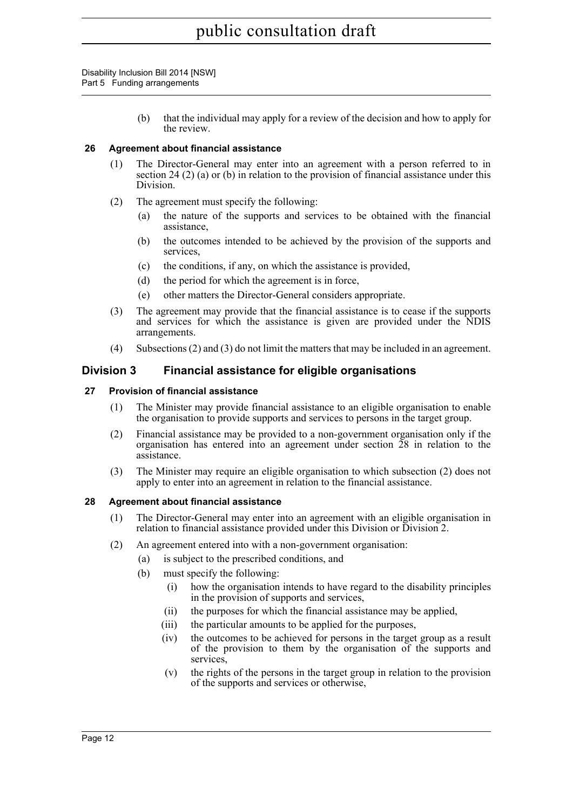> (b) that the individual may apply for a review of the decision and how to apply for the review.

#### <span id="page-22-0"></span>**26 Agreement about financial assistance**

- (1) The Director-General may enter into an agreement with a person referred to in section 24 (2) (a) or (b) in relation to the provision of financial assistance under this Division.
- (2) The agreement must specify the following:
	- (a) the nature of the supports and services to be obtained with the financial assistance,
	- (b) the outcomes intended to be achieved by the provision of the supports and services,
	- (c) the conditions, if any, on which the assistance is provided,
	- (d) the period for which the agreement is in force,
	- (e) other matters the Director-General considers appropriate.
- (3) The agreement may provide that the financial assistance is to cease if the supports and services for which the assistance is given are provided under the NDIS arrangements.
- (4) Subsections (2) and (3) do not limit the matters that may be included in an agreement.

#### <span id="page-22-1"></span>**Division 3 Financial assistance for eligible organisations**

#### <span id="page-22-2"></span>**27 Provision of financial assistance**

- (1) The Minister may provide financial assistance to an eligible organisation to enable the organisation to provide supports and services to persons in the target group.
- (2) Financial assistance may be provided to a non-government organisation only if the organisation has entered into an agreement under section 28 in relation to the assistance.
- (3) The Minister may require an eligible organisation to which subsection (2) does not apply to enter into an agreement in relation to the financial assistance.

#### <span id="page-22-3"></span>**28 Agreement about financial assistance**

- (1) The Director-General may enter into an agreement with an eligible organisation in relation to financial assistance provided under this Division or Division 2.
- (2) An agreement entered into with a non-government organisation:
	- (a) is subject to the prescribed conditions, and
	- (b) must specify the following:
		- (i) how the organisation intends to have regard to the disability principles in the provision of supports and services,
		- (ii) the purposes for which the financial assistance may be applied,
		- (iii) the particular amounts to be applied for the purposes,
		- (iv) the outcomes to be achieved for persons in the target group as a result of the provision to them by the organisation of the supports and services,
		- (v) the rights of the persons in the target group in relation to the provision of the supports and services or otherwise,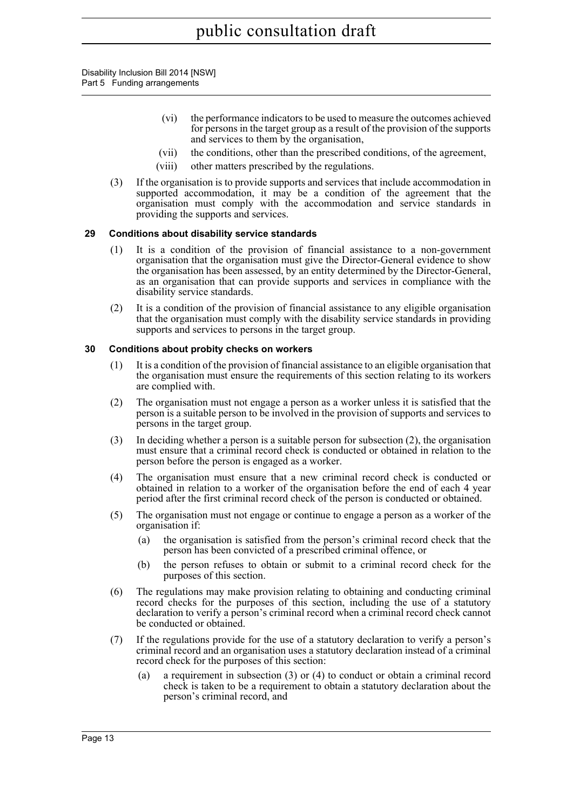- (vi) the performance indicators to be used to measure the outcomes achieved for persons in the target group as a result of the provision of the supports and services to them by the organisation,
- (vii) the conditions, other than the prescribed conditions, of the agreement,
- (viii) other matters prescribed by the regulations.
- (3) If the organisation is to provide supports and services that include accommodation in supported accommodation, it may be a condition of the agreement that the organisation must comply with the accommodation and service standards in providing the supports and services.

#### <span id="page-23-0"></span>**29 Conditions about disability service standards**

- (1) It is a condition of the provision of financial assistance to a non-government organisation that the organisation must give the Director-General evidence to show the organisation has been assessed, by an entity determined by the Director-General, as an organisation that can provide supports and services in compliance with the disability service standards.
- (2) It is a condition of the provision of financial assistance to any eligible organisation that the organisation must comply with the disability service standards in providing supports and services to persons in the target group.

#### <span id="page-23-1"></span>**30 Conditions about probity checks on workers**

- (1) It is a condition of the provision of financial assistance to an eligible organisation that the organisation must ensure the requirements of this section relating to its workers are complied with.
- (2) The organisation must not engage a person as a worker unless it is satisfied that the person is a suitable person to be involved in the provision of supports and services to persons in the target group.
- (3) In deciding whether a person is a suitable person for subsection (2), the organisation must ensure that a criminal record check is conducted or obtained in relation to the person before the person is engaged as a worker.
- (4) The organisation must ensure that a new criminal record check is conducted or obtained in relation to a worker of the organisation before the end of each 4 year period after the first criminal record check of the person is conducted or obtained.
- (5) The organisation must not engage or continue to engage a person as a worker of the organisation if:
	- (a) the organisation is satisfied from the person's criminal record check that the person has been convicted of a prescribed criminal offence, or
	- (b) the person refuses to obtain or submit to a criminal record check for the purposes of this section.
- (6) The regulations may make provision relating to obtaining and conducting criminal record checks for the purposes of this section, including the use of a statutory declaration to verify a person's criminal record when a criminal record check cannot be conducted or obtained.
- (7) If the regulations provide for the use of a statutory declaration to verify a person's criminal record and an organisation uses a statutory declaration instead of a criminal record check for the purposes of this section:
	- (a) a requirement in subsection (3) or (4) to conduct or obtain a criminal record check is taken to be a requirement to obtain a statutory declaration about the person's criminal record, and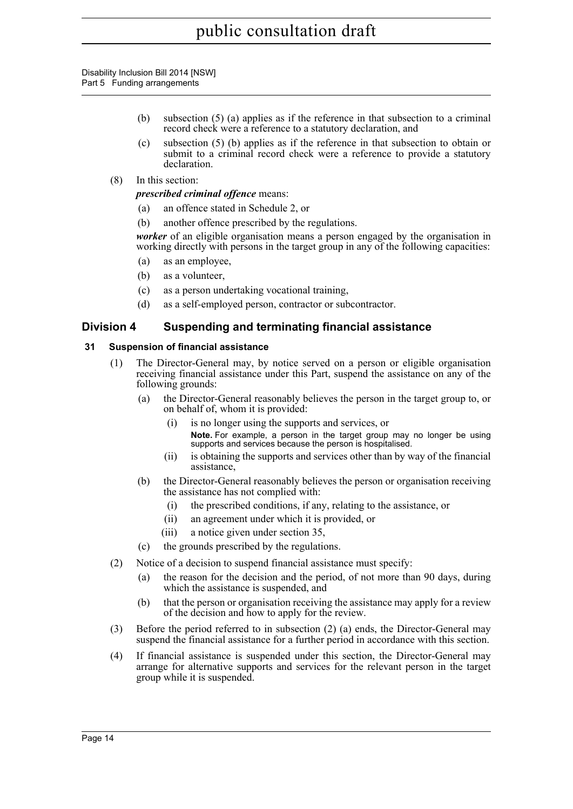- (b) subsection (5) (a) applies as if the reference in that subsection to a criminal record check were a reference to a statutory declaration, and
- (c) subsection (5) (b) applies as if the reference in that subsection to obtain or submit to a criminal record check were a reference to provide a statutory declaration.
- (8) In this section:

*prescribed criminal offence* means:

- (a) an offence stated in Schedule 2, or
- (b) another offence prescribed by the regulations.

*worker* of an eligible organisation means a person engaged by the organisation in working directly with persons in the target group in any of the following capacities:

- (a) as an employee,
- (b) as a volunteer,
- (c) as a person undertaking vocational training,
- (d) as a self-employed person, contractor or subcontractor.

#### <span id="page-24-0"></span>**Division 4 Suspending and terminating financial assistance**

#### <span id="page-24-1"></span>**31 Suspension of financial assistance**

- (1) The Director-General may, by notice served on a person or eligible organisation receiving financial assistance under this Part, suspend the assistance on any of the following grounds:
	- (a) the Director-General reasonably believes the person in the target group to, or on behalf of, whom it is provided:
		- (i) is no longer using the supports and services, or **Note.** For example, a person in the target group may no longer be using supports and services because the person is hospitalised.
		- (ii) is obtaining the supports and services other than by way of the financial assistance,
	- (b) the Director-General reasonably believes the person or organisation receiving the assistance has not complied with:
		- (i) the prescribed conditions, if any, relating to the assistance, or
		- (ii) an agreement under which it is provided, or
		- (iii) a notice given under section 35,
	- (c) the grounds prescribed by the regulations.
- (2) Notice of a decision to suspend financial assistance must specify:
	- (a) the reason for the decision and the period, of not more than 90 days, during which the assistance is suspended, and
	- (b) that the person or organisation receiving the assistance may apply for a review of the decision and how to apply for the review.
- (3) Before the period referred to in subsection (2) (a) ends, the Director-General may suspend the financial assistance for a further period in accordance with this section.
- (4) If financial assistance is suspended under this section, the Director-General may arrange for alternative supports and services for the relevant person in the target group while it is suspended.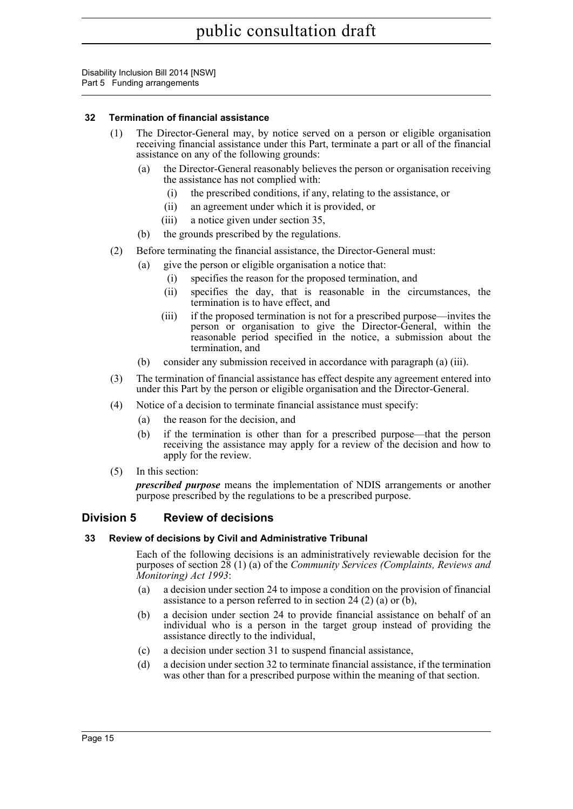#### <span id="page-25-0"></span>**32 Termination of financial assistance**

- (1) The Director-General may, by notice served on a person or eligible organisation receiving financial assistance under this Part, terminate a part or all of the financial assistance on any of the following grounds:
	- (a) the Director-General reasonably believes the person or organisation receiving the assistance has not complied with:
		- (i) the prescribed conditions, if any, relating to the assistance, or
		- (ii) an agreement under which it is provided, or
		- (iii) a notice given under section 35,
	- (b) the grounds prescribed by the regulations.
- (2) Before terminating the financial assistance, the Director-General must:
	- (a) give the person or eligible organisation a notice that:
		- (i) specifies the reason for the proposed termination, and
		- (ii) specifies the day, that is reasonable in the circumstances, the termination is to have effect, and
		- (iii) if the proposed termination is not for a prescribed purpose—invites the person or organisation to give the Director-General, within the reasonable period specified in the notice, a submission about the termination, and
	- (b) consider any submission received in accordance with paragraph (a) (iii).
- (3) The termination of financial assistance has effect despite any agreement entered into under this Part by the person or eligible organisation and the Director-General.
- (4) Notice of a decision to terminate financial assistance must specify:
	- (a) the reason for the decision, and
	- (b) if the termination is other than for a prescribed purpose—that the person receiving the assistance may apply for a review of the decision and how to apply for the review.
- (5) In this section:

*prescribed purpose* means the implementation of NDIS arrangements or another purpose prescribed by the regulations to be a prescribed purpose.

#### <span id="page-25-1"></span>**Division 5 Review of decisions**

#### <span id="page-25-2"></span>**33 Review of decisions by Civil and Administrative Tribunal**

Each of the following decisions is an administratively reviewable decision for the purposes of section 28 (1) (a) of the *Community Services (Complaints, Reviews and Monitoring) Act 1993*:

- (a) a decision under section 24 to impose a condition on the provision of financial assistance to a person referred to in section 24 (2) (a) or (b),
- (b) a decision under section 24 to provide financial assistance on behalf of an individual who is a person in the target group instead of providing the assistance directly to the individual,
- (c) a decision under section 31 to suspend financial assistance,
- (d) a decision under section 32 to terminate financial assistance, if the termination was other than for a prescribed purpose within the meaning of that section.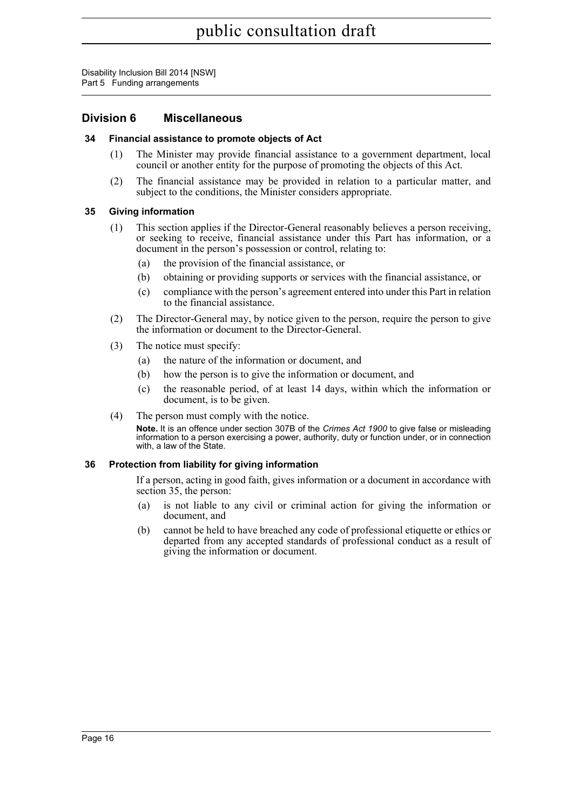#### <span id="page-26-0"></span>**Division 6 Miscellaneous**

#### <span id="page-26-1"></span>**34 Financial assistance to promote objects of Act**

- (1) The Minister may provide financial assistance to a government department, local council or another entity for the purpose of promoting the objects of this Act.
- (2) The financial assistance may be provided in relation to a particular matter, and subject to the conditions, the Minister considers appropriate.

#### <span id="page-26-2"></span>**35 Giving information**

- (1) This section applies if the Director-General reasonably believes a person receiving, or seeking to receive, financial assistance under this Part has information, or a document in the person's possession or control, relating to:
	- (a) the provision of the financial assistance, or
	- (b) obtaining or providing supports or services with the financial assistance, or
	- (c) compliance with the person's agreement entered into under this Part in relation to the financial assistance.
- (2) The Director-General may, by notice given to the person, require the person to give the information or document to the Director-General.
- (3) The notice must specify:
	- (a) the nature of the information or document, and
	- (b) how the person is to give the information or document, and
	- (c) the reasonable period, of at least 14 days, within which the information or document, is to be given.
- (4) The person must comply with the notice.

**Note.** It is an offence under section 307B of the *Crimes Act 1900* to give false or misleading information to a person exercising a power, authority, duty or function under, or in connection with, a law of the State.

#### <span id="page-26-3"></span>**36 Protection from liability for giving information**

If a person, acting in good faith, gives information or a document in accordance with section 35, the person:

- (a) is not liable to any civil or criminal action for giving the information or document, and
- (b) cannot be held to have breached any code of professional etiquette or ethics or departed from any accepted standards of professional conduct as a result of giving the information or document.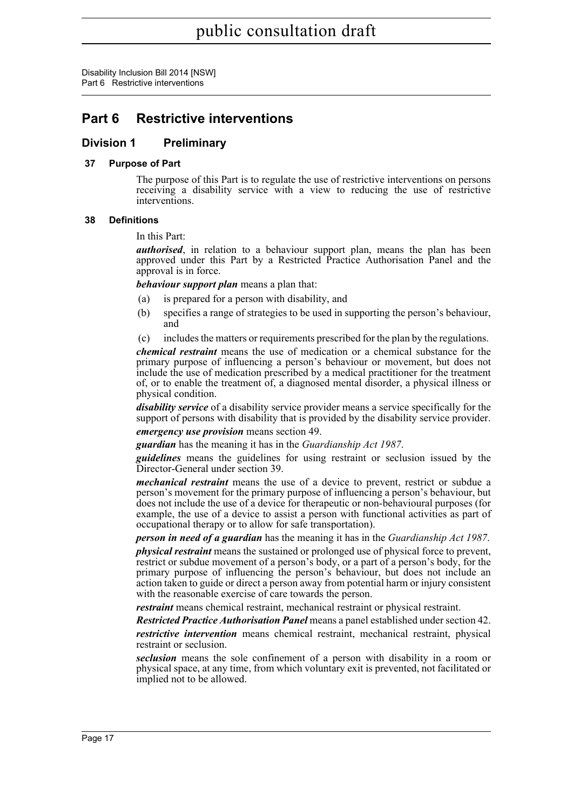### <span id="page-27-0"></span>**Part 6 Restrictive interventions**

#### <span id="page-27-1"></span>**Division 1 Preliminary**

#### <span id="page-27-2"></span>**37 Purpose of Part**

The purpose of this Part is to regulate the use of restrictive interventions on persons receiving a disability service with a view to reducing the use of restrictive interventions.

#### <span id="page-27-3"></span>**38 Definitions**

#### In this Part:

*authorised*, in relation to a behaviour support plan, means the plan has been approved under this Part by a Restricted Practice Authorisation Panel and the approval is in force.

*behaviour support plan* means a plan that:

- (a) is prepared for a person with disability, and
- (b) specifies a range of strategies to be used in supporting the person's behaviour, and
- (c) includes the matters or requirements prescribed for the plan by the regulations.

*chemical restraint* means the use of medication or a chemical substance for the primary purpose of influencing a person's behaviour or movement, but does not include the use of medication prescribed by a medical practitioner for the treatment of, or to enable the treatment of, a diagnosed mental disorder, a physical illness or physical condition.

*disability service* of a disability service provider means a service specifically for the support of persons with disability that is provided by the disability service provider. *emergency use provision* means section 49.

*guardian* has the meaning it has in the *Guardianship Act 1987*.

*guidelines* means the guidelines for using restraint or seclusion issued by the Director-General under section 39.

*mechanical restraint* means the use of a device to prevent, restrict or subdue a person's movement for the primary purpose of influencing a person's behaviour, but does not include the use of a device for therapeutic or non-behavioural purposes (for example, the use of a device to assist a person with functional activities as part of occupational therapy or to allow for safe transportation).

*person in need of a guardian* has the meaning it has in the *Guardianship Act 1987*.

*physical restraint* means the sustained or prolonged use of physical force to prevent, restrict or subdue movement of a person's body, or a part of a person's body, for the primary purpose of influencing the person's behaviour, but does not include an action taken to guide or direct a person away from potential harm or injury consistent with the reasonable exercise of care towards the person.

*restraint* means chemical restraint, mechanical restraint or physical restraint.

*Restricted Practice Authorisation Panel* means a panel established under section 42.

*restrictive intervention* means chemical restraint, mechanical restraint, physical restraint or seclusion.

*seclusion* means the sole confinement of a person with disability in a room or physical space, at any time, from which voluntary exit is prevented, not facilitated or implied not to be allowed.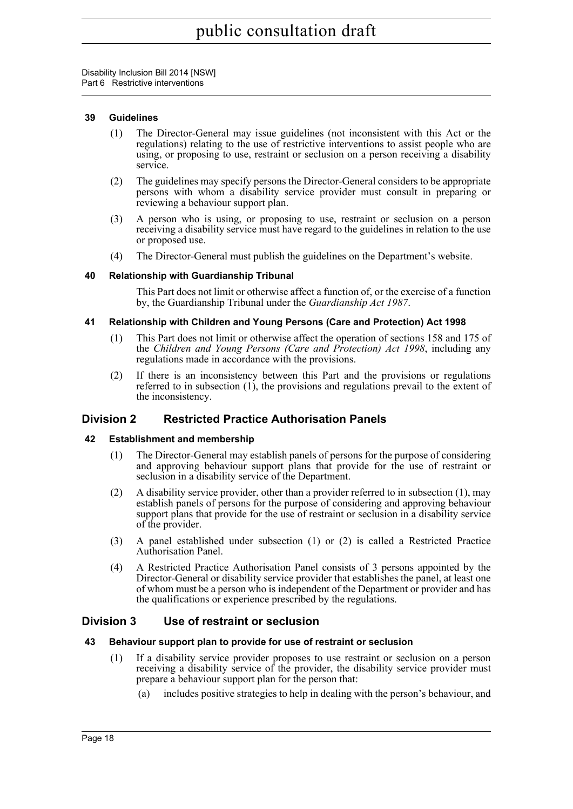#### <span id="page-28-0"></span>**39 Guidelines**

- (1) The Director-General may issue guidelines (not inconsistent with this Act or the regulations) relating to the use of restrictive interventions to assist people who are using, or proposing to use, restraint or seclusion on a person receiving a disability service.
- (2) The guidelines may specify persons the Director-General considers to be appropriate persons with whom a disability service provider must consult in preparing or reviewing a behaviour support plan.
- (3) A person who is using, or proposing to use, restraint or seclusion on a person receiving a disability service must have regard to the guidelines in relation to the use or proposed use.
- (4) The Director-General must publish the guidelines on the Department's website.

#### <span id="page-28-1"></span>**40 Relationship with Guardianship Tribunal**

This Part does not limit or otherwise affect a function of, or the exercise of a function by, the Guardianship Tribunal under the *Guardianship Act 1987*.

#### <span id="page-28-2"></span>**41 Relationship with Children and Young Persons (Care and Protection) Act 1998**

- (1) This Part does not limit or otherwise affect the operation of sections 158 and 175 of the *Children and Young Persons (Care and Protection) Act 1998*, including any regulations made in accordance with the provisions.
- (2) If there is an inconsistency between this Part and the provisions or regulations referred to in subsection (1), the provisions and regulations prevail to the extent of the inconsistency.

#### <span id="page-28-3"></span>**Division 2 Restricted Practice Authorisation Panels**

#### <span id="page-28-4"></span>**42 Establishment and membership**

- (1) The Director-General may establish panels of persons for the purpose of considering and approving behaviour support plans that provide for the use of restraint or seclusion in a disability service of the Department.
- (2) A disability service provider, other than a provider referred to in subsection (1), may establish panels of persons for the purpose of considering and approving behaviour support plans that provide for the use of restraint or seclusion in a disability service of the provider.
- (3) A panel established under subsection (1) or (2) is called a Restricted Practice Authorisation Panel.
- (4) A Restricted Practice Authorisation Panel consists of 3 persons appointed by the Director-General or disability service provider that establishes the panel, at least one of whom must be a person who is independent of the Department or provider and has the qualifications or experience prescribed by the regulations.

#### <span id="page-28-5"></span>**Division 3 Use of restraint or seclusion**

#### <span id="page-28-6"></span>**43 Behaviour support plan to provide for use of restraint or seclusion**

- (1) If a disability service provider proposes to use restraint or seclusion on a person receiving a disability service of the provider, the disability service provider must prepare a behaviour support plan for the person that:
	- (a) includes positive strategies to help in dealing with the person's behaviour, and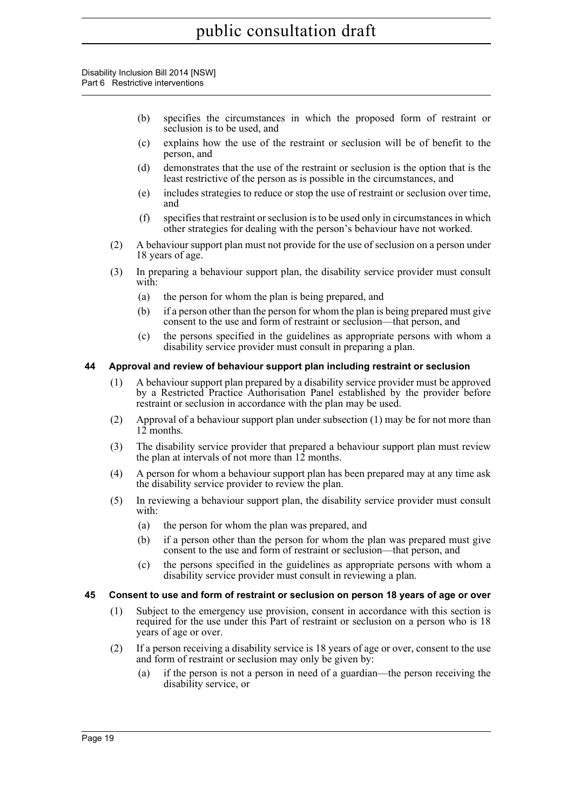- (b) specifies the circumstances in which the proposed form of restraint or seclusion is to be used, and
- (c) explains how the use of the restraint or seclusion will be of benefit to the person, and
- (d) demonstrates that the use of the restraint or seclusion is the option that is the least restrictive of the person as is possible in the circumstances, and
- (e) includes strategies to reduce or stop the use of restraint or seclusion over time, and
- (f) specifies that restraint or seclusion is to be used only in circumstances in which other strategies for dealing with the person's behaviour have not worked.
- (2) A behaviour support plan must not provide for the use of seclusion on a person under 18 years of age.
- (3) In preparing a behaviour support plan, the disability service provider must consult with:
	- (a) the person for whom the plan is being prepared, and
	- (b) if a person other than the person for whom the plan is being prepared must give consent to the use and form of restraint or seclusion—that person, and
	- (c) the persons specified in the guidelines as appropriate persons with whom a disability service provider must consult in preparing a plan.

#### <span id="page-29-0"></span>**44 Approval and review of behaviour support plan including restraint or seclusion**

- (1) A behaviour support plan prepared by a disability service provider must be approved by a Restricted Practice Authorisation Panel established by the provider before restraint or seclusion in accordance with the plan may be used.
- (2) Approval of a behaviour support plan under subsection (1) may be for not more than 12 months.
- (3) The disability service provider that prepared a behaviour support plan must review the plan at intervals of not more than  $12$  months.
- (4) A person for whom a behaviour support plan has been prepared may at any time ask the disability service provider to review the plan.
- (5) In reviewing a behaviour support plan, the disability service provider must consult with:
	- (a) the person for whom the plan was prepared, and
	- (b) if a person other than the person for whom the plan was prepared must give consent to the use and form of restraint or seclusion—that person, and
	- (c) the persons specified in the guidelines as appropriate persons with whom a disability service provider must consult in reviewing a plan.

#### <span id="page-29-1"></span>**45 Consent to use and form of restraint or seclusion on person 18 years of age or over**

- (1) Subject to the emergency use provision, consent in accordance with this section is required for the use under this Part of restraint or seclusion on a person who is 18 years of age or over.
- (2) If a person receiving a disability service is 18 years of age or over, consent to the use and form of restraint or seclusion may only be given by:
	- (a) if the person is not a person in need of a guardian—the person receiving the disability service, or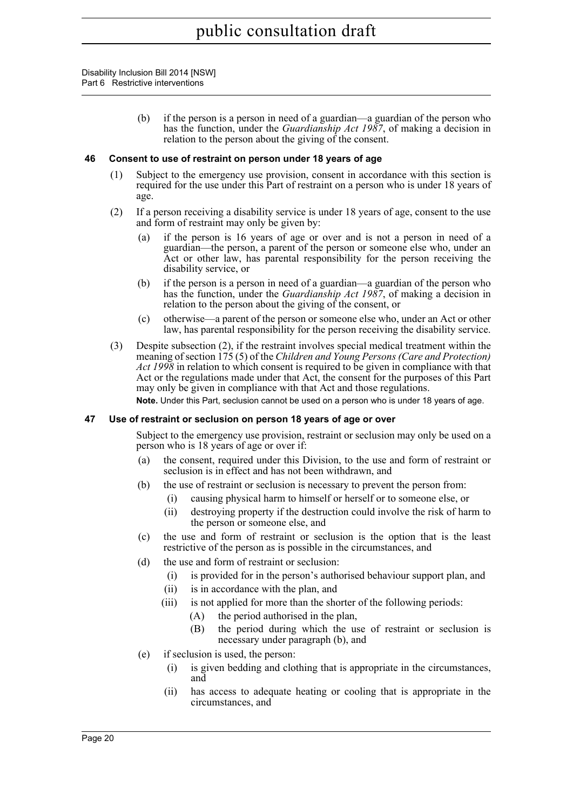> (b) if the person is a person in need of a guardian—a guardian of the person who has the function, under the *Guardianship Act 1987*, of making a decision in relation to the person about the giving of the consent.

#### <span id="page-30-0"></span>**46 Consent to use of restraint on person under 18 years of age**

- (1) Subject to the emergency use provision, consent in accordance with this section is required for the use under this Part of restraint on a person who is under 18 years of age.
- (2) If a person receiving a disability service is under 18 years of age, consent to the use and form of restraint may only be given by:
	- (a) if the person is 16 years of age or over and is not a person in need of a guardian—the person, a parent of the person or someone else who, under an Act or other law, has parental responsibility for the person receiving the disability service, or
	- (b) if the person is a person in need of a guardian—a guardian of the person who has the function, under the *Guardianship Act 1987*, of making a decision in relation to the person about the giving of the consent, or
	- (c) otherwise—a parent of the person or someone else who, under an Act or other law, has parental responsibility for the person receiving the disability service.
- (3) Despite subsection (2), if the restraint involves special medical treatment within the meaning of section 175 (5) of the *Children and Young Persons (Care and Protection) Act 1998* in relation to which consent is required to be given in compliance with that Act or the regulations made under that Act, the consent for the purposes of this Part may only be given in compliance with that Act and those regulations.

**Note.** Under this Part, seclusion cannot be used on a person who is under 18 years of age.

#### <span id="page-30-1"></span>**47 Use of restraint or seclusion on person 18 years of age or over**

Subject to the emergency use provision, restraint or seclusion may only be used on a person who is 18 years of age or over if:

- (a) the consent, required under this Division, to the use and form of restraint or seclusion is in effect and has not been withdrawn, and
- (b) the use of restraint or seclusion is necessary to prevent the person from:
	- (i) causing physical harm to himself or herself or to someone else, or
	- (ii) destroying property if the destruction could involve the risk of harm to the person or someone else, and
- (c) the use and form of restraint or seclusion is the option that is the least restrictive of the person as is possible in the circumstances, and
- (d) the use and form of restraint or seclusion:
	- (i) is provided for in the person's authorised behaviour support plan, and
	- (ii) is in accordance with the plan, and
	- (iii) is not applied for more than the shorter of the following periods:
		- (A) the period authorised in the plan,
		- (B) the period during which the use of restraint or seclusion is necessary under paragraph (b), and
- (e) if seclusion is used, the person:
	- (i) is given bedding and clothing that is appropriate in the circumstances, and
	- (ii) has access to adequate heating or cooling that is appropriate in the circumstances, and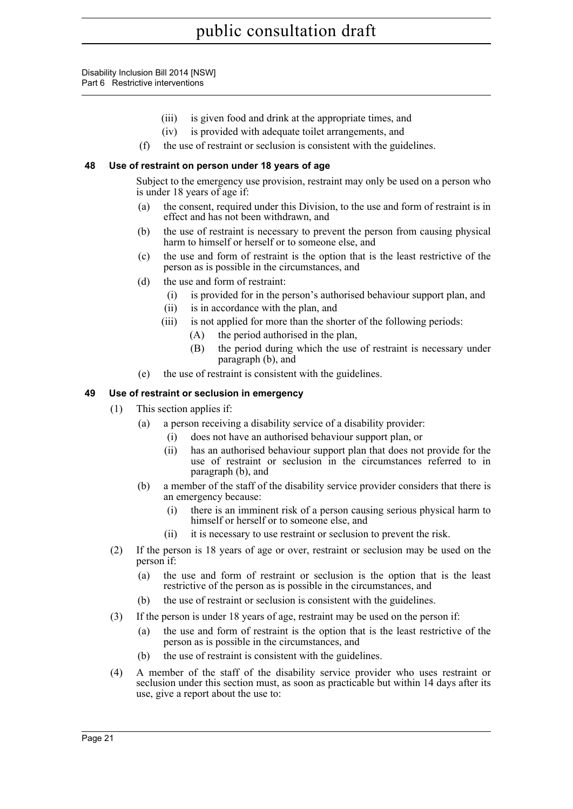- (iii) is given food and drink at the appropriate times, and
- (iv) is provided with adequate toilet arrangements, and
- (f) the use of restraint or seclusion is consistent with the guidelines.

#### <span id="page-31-0"></span>**48 Use of restraint on person under 18 years of age**

Subject to the emergency use provision, restraint may only be used on a person who is under 18 years of age if:

- (a) the consent, required under this Division, to the use and form of restraint is in effect and has not been withdrawn, and
- (b) the use of restraint is necessary to prevent the person from causing physical harm to himself or herself or to someone else, and
- (c) the use and form of restraint is the option that is the least restrictive of the person as is possible in the circumstances, and
- (d) the use and form of restraint:
	- (i) is provided for in the person's authorised behaviour support plan, and
	- (ii) is in accordance with the plan, and
	- (iii) is not applied for more than the shorter of the following periods:
		- (A) the period authorised in the plan,
		- (B) the period during which the use of restraint is necessary under paragraph (b), and
- (e) the use of restraint is consistent with the guidelines.

#### <span id="page-31-1"></span>**49 Use of restraint or seclusion in emergency**

- (1) This section applies if:
	- (a) a person receiving a disability service of a disability provider:
		- (i) does not have an authorised behaviour support plan, or
		- (ii) has an authorised behaviour support plan that does not provide for the use of restraint or seclusion in the circumstances referred to in paragraph (b), and
	- (b) a member of the staff of the disability service provider considers that there is an emergency because:
		- (i) there is an imminent risk of a person causing serious physical harm to himself or herself or to someone else, and
		- (ii) it is necessary to use restraint or seclusion to prevent the risk.
- (2) If the person is 18 years of age or over, restraint or seclusion may be used on the person if:
	- (a) the use and form of restraint or seclusion is the option that is the least restrictive of the person as is possible in the circumstances, and
	- (b) the use of restraint or seclusion is consistent with the guidelines.
- (3) If the person is under 18 years of age, restraint may be used on the person if:
	- (a) the use and form of restraint is the option that is the least restrictive of the person as is possible in the circumstances, and
	- (b) the use of restraint is consistent with the guidelines.
- (4) A member of the staff of the disability service provider who uses restraint or seclusion under this section must, as soon as practicable but within 14 days after its use, give a report about the use to: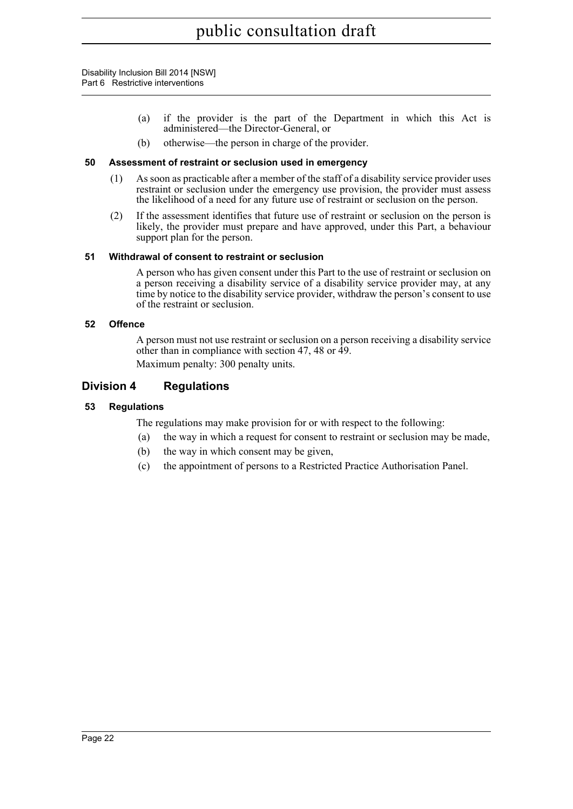- (a) if the provider is the part of the Department in which this Act is administered—the Director-General, or
- (b) otherwise—the person in charge of the provider.

#### <span id="page-32-0"></span>**50 Assessment of restraint or seclusion used in emergency**

- (1) As soon as practicable after a member of the staff of a disability service provider uses restraint or seclusion under the emergency use provision, the provider must assess the likelihood of a need for any future use of restraint or seclusion on the person.
- (2) If the assessment identifies that future use of restraint or seclusion on the person is likely, the provider must prepare and have approved, under this Part, a behaviour support plan for the person.

#### <span id="page-32-1"></span>**51 Withdrawal of consent to restraint or seclusion**

A person who has given consent under this Part to the use of restraint or seclusion on a person receiving a disability service of a disability service provider may, at any time by notice to the disability service provider, withdraw the person's consent to use of the restraint or seclusion.

#### <span id="page-32-2"></span>**52 Offence**

A person must not use restraint or seclusion on a person receiving a disability service other than in compliance with section 47, 48 or 49.

Maximum penalty: 300 penalty units.

#### <span id="page-32-3"></span>**Division 4 Regulations**

#### <span id="page-32-4"></span>**53 Regulations**

The regulations may make provision for or with respect to the following:

- (a) the way in which a request for consent to restraint or seclusion may be made,
- (b) the way in which consent may be given,
- (c) the appointment of persons to a Restricted Practice Authorisation Panel.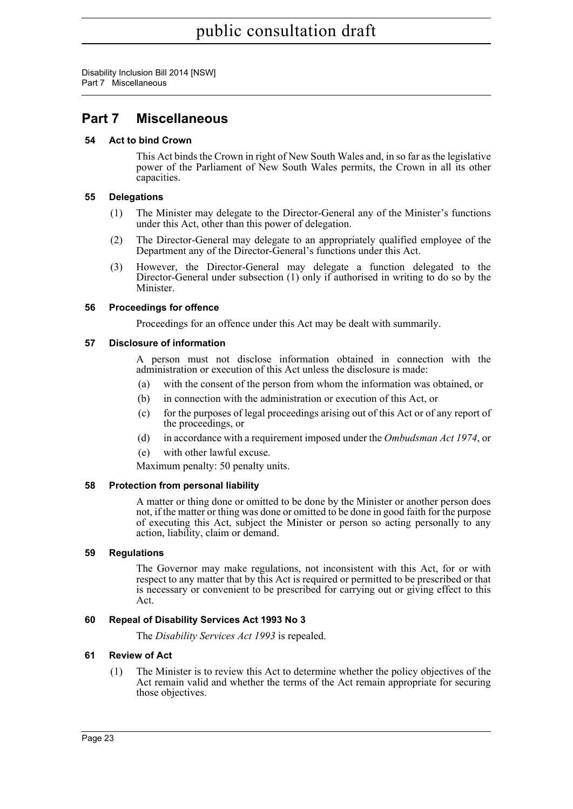Disability Inclusion Bill 2014 [NSW] Part 7 Miscellaneous

### <span id="page-33-0"></span>**Part 7 Miscellaneous**

#### <span id="page-33-1"></span>**54 Act to bind Crown**

This Act binds the Crown in right of New South Wales and, in so far as the legislative power of the Parliament of New South Wales permits, the Crown in all its other capacities.

#### <span id="page-33-2"></span>**55 Delegations**

- (1) The Minister may delegate to the Director-General any of the Minister's functions under this Act, other than this power of delegation.
- (2) The Director-General may delegate to an appropriately qualified employee of the Department any of the Director-General's functions under this Act.
- (3) However, the Director-General may delegate a function delegated to the Director-General under subsection (1) only if authorised in writing to do so by the Minister.

#### <span id="page-33-3"></span>**56 Proceedings for offence**

Proceedings for an offence under this Act may be dealt with summarily.

#### <span id="page-33-4"></span>**57 Disclosure of information**

A person must not disclose information obtained in connection with the administration or execution of this Act unless the disclosure is made:

- (a) with the consent of the person from whom the information was obtained, or
- (b) in connection with the administration or execution of this Act, or
- (c) for the purposes of legal proceedings arising out of this Act or of any report of the proceedings, or
- (d) in accordance with a requirement imposed under the *Ombudsman Act 1974*, or
- (e) with other lawful excuse.

Maximum penalty: 50 penalty units.

#### <span id="page-33-5"></span>**58 Protection from personal liability**

A matter or thing done or omitted to be done by the Minister or another person does not, if the matter or thing was done or omitted to be done in good faith for the purpose of executing this Act, subject the Minister or person so acting personally to any action, liability, claim or demand.

#### <span id="page-33-6"></span>**59 Regulations**

The Governor may make regulations, not inconsistent with this Act, for or with respect to any matter that by this Act is required or permitted to be prescribed or that is necessary or convenient to be prescribed for carrying out or giving effect to this Act.

#### <span id="page-33-7"></span>**60 Repeal of Disability Services Act 1993 No 3**

The *Disability Services Act 1993* is repealed.

#### <span id="page-33-8"></span>**61 Review of Act**

(1) The Minister is to review this Act to determine whether the policy objectives of the Act remain valid and whether the terms of the Act remain appropriate for securing those objectives.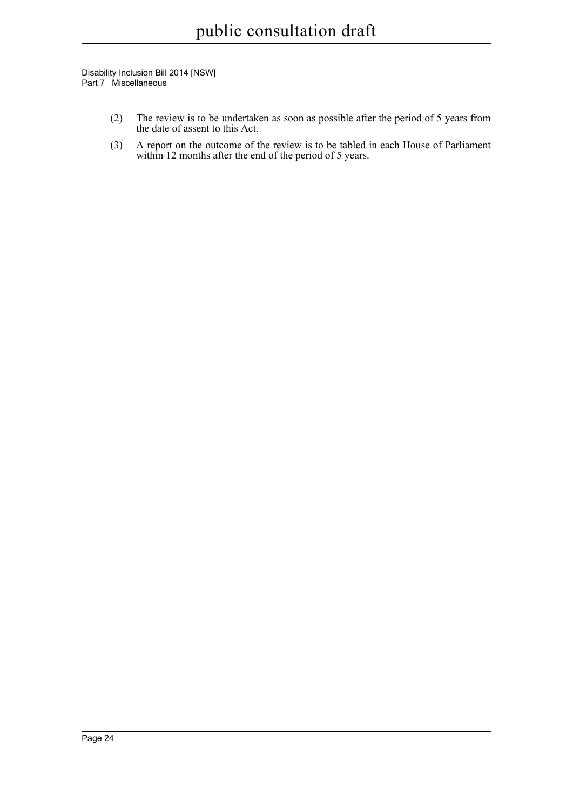Disability Inclusion Bill 2014 [NSW] Part 7 Miscellaneous

- (2) The review is to be undertaken as soon as possible after the period of 5 years from the date of assent to this Act.
- (3) A report on the outcome of the review is to be tabled in each House of Parliament within 12 months after the end of the period of 5 years.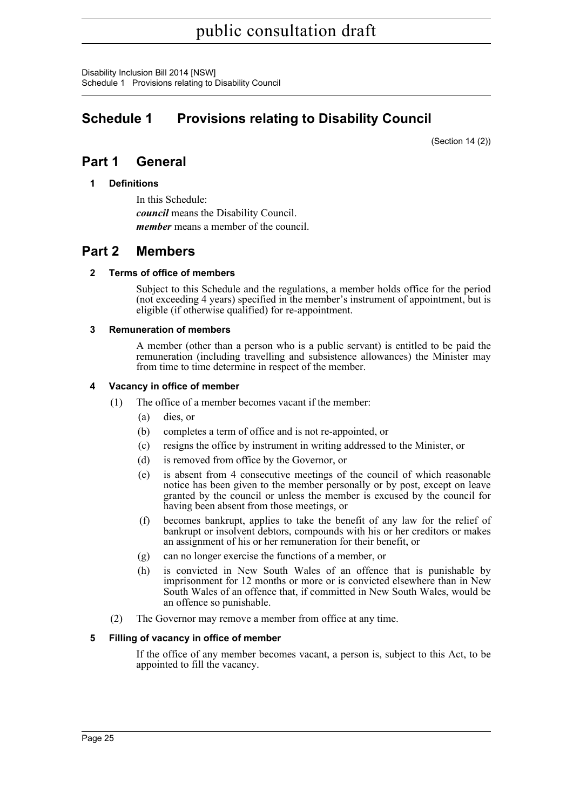Disability Inclusion Bill 2014 [NSW] Schedule 1 Provisions relating to Disability Council

## <span id="page-35-0"></span>**Schedule 1 Provisions relating to Disability Council**

(Section 14 (2))

### **Part 1 General**

**1 Definitions**

In this Schedule: *council* means the Disability Council. *member* means a member of the council.

### **Part 2 Members**

#### **2 Terms of office of members**

Subject to this Schedule and the regulations, a member holds office for the period (not exceeding 4 years) specified in the member's instrument of appointment, but is eligible (if otherwise qualified) for re-appointment.

#### **3 Remuneration of members**

A member (other than a person who is a public servant) is entitled to be paid the remuneration (including travelling and subsistence allowances) the Minister may from time to time determine in respect of the member.

#### **4 Vacancy in office of member**

- (1) The office of a member becomes vacant if the member:
	- (a) dies, or
	- (b) completes a term of office and is not re-appointed, or
	- (c) resigns the office by instrument in writing addressed to the Minister, or
	- (d) is removed from office by the Governor, or
	- (e) is absent from 4 consecutive meetings of the council of which reasonable notice has been given to the member personally or by post, except on leave granted by the council or unless the member is excused by the council for having been absent from those meetings, or
	- (f) becomes bankrupt, applies to take the benefit of any law for the relief of bankrupt or insolvent debtors, compounds with his or her creditors or makes an assignment of his or her remuneration for their benefit, or
	- (g) can no longer exercise the functions of a member, or
	- (h) is convicted in New South Wales of an offence that is punishable by imprisonment for 12 months or more or is convicted elsewhere than in New South Wales of an offence that, if committed in New South Wales, would be an offence so punishable.
- (2) The Governor may remove a member from office at any time.

#### **5 Filling of vacancy in office of member**

If the office of any member becomes vacant, a person is, subject to this Act, to be appointed to fill the vacancy.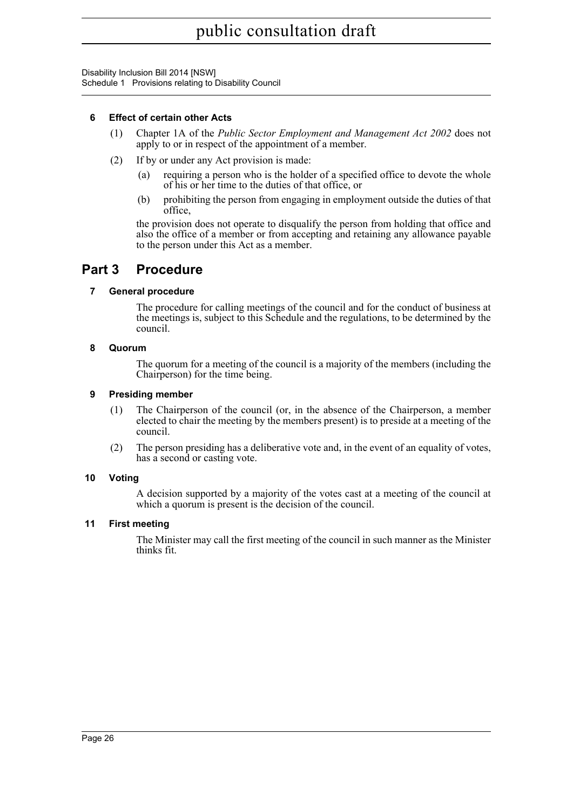Disability Inclusion Bill 2014 [NSW] Schedule 1 Provisions relating to Disability Council

#### **6 Effect of certain other Acts**

- (1) Chapter 1A of the *Public Sector Employment and Management Act 2002* does not apply to or in respect of the appointment of a member.
- (2) If by or under any Act provision is made:
	- (a) requiring a person who is the holder of a specified office to devote the whole of his or her time to the duties of that office, or
	- (b) prohibiting the person from engaging in employment outside the duties of that office,

the provision does not operate to disqualify the person from holding that office and also the office of a member or from accepting and retaining any allowance payable to the person under this Act as a member.

### **Part 3 Procedure**

#### **7 General procedure**

The procedure for calling meetings of the council and for the conduct of business at the meetings is, subject to this Schedule and the regulations, to be determined by the council.

#### **8 Quorum**

The quorum for a meeting of the council is a majority of the members (including the Chairperson) for the time being.

#### **9 Presiding member**

- (1) The Chairperson of the council (or, in the absence of the Chairperson, a member elected to chair the meeting by the members present) is to preside at a meeting of the council.
- (2) The person presiding has a deliberative vote and, in the event of an equality of votes, has a second or casting vote.

#### **10 Voting**

A decision supported by a majority of the votes cast at a meeting of the council at which a quorum is present is the decision of the council.

#### **11 First meeting**

The Minister may call the first meeting of the council in such manner as the Minister thinks fit.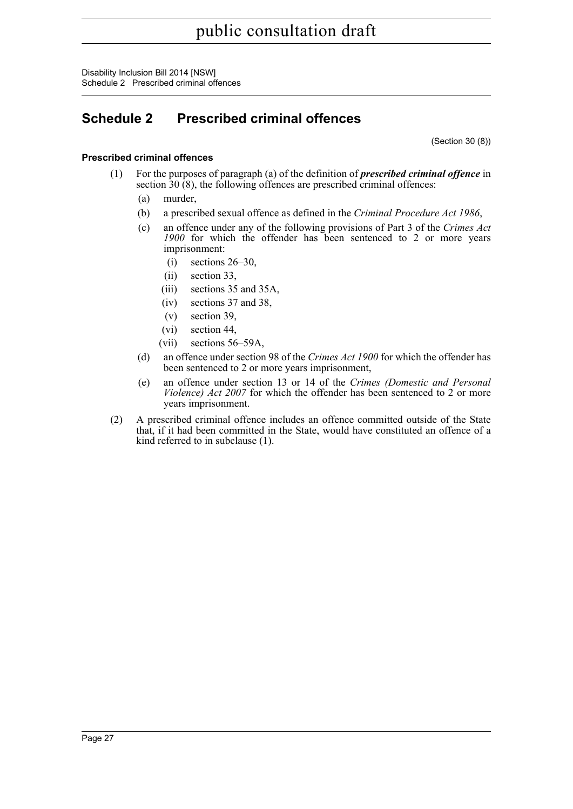Disability Inclusion Bill 2014 [NSW] Schedule 2 Prescribed criminal offences

## <span id="page-37-0"></span>**Schedule 2 Prescribed criminal offences**

(Section 30 (8))

#### **Prescribed criminal offences**

- (1) For the purposes of paragraph (a) of the definition of *prescribed criminal offence* in section  $30(8)$ , the following offences are prescribed criminal offences:
	- (a) murder,
	- (b) a prescribed sexual offence as defined in the *Criminal Procedure Act 1986*,
	- (c) an offence under any of the following provisions of Part 3 of the *Crimes Act 1900* for which the offender has been sentenced to 2 or more years imprisonment:
		- (i) sections 26–30,
		- (ii) section 33,
		- (iii) sections 35 and 35A,
		- (iv) sections 37 and 38,
		- (v) section 39,
		- (vi) section 44,
		- (vii) sections 56–59A,
	- (d) an offence under section 98 of the *Crimes Act 1900* for which the offender has been sentenced to 2 or more years imprisonment,
	- (e) an offence under section 13 or 14 of the *Crimes (Domestic and Personal Violence) Act 2007* for which the offender has been sentenced to 2 or more years imprisonment.
- (2) A prescribed criminal offence includes an offence committed outside of the State that, if it had been committed in the State, would have constituted an offence of a kind referred to in subclause (1).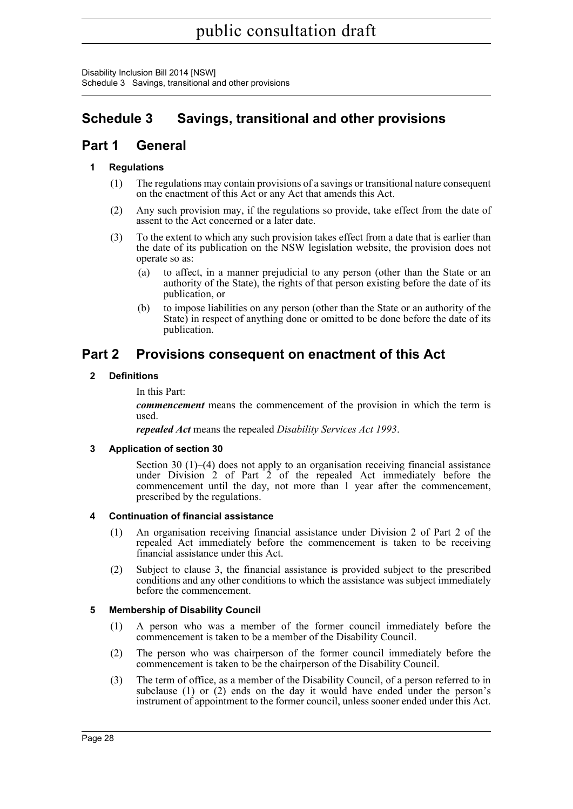Disability Inclusion Bill 2014 [NSW] Schedule 3 Savings, transitional and other provisions

## <span id="page-38-0"></span>**Schedule 3 Savings, transitional and other provisions**

### **Part 1 General**

#### **1 Regulations**

- (1) The regulations may contain provisions of a savings or transitional nature consequent on the enactment of this Act or any Act that amends this Act.
- (2) Any such provision may, if the regulations so provide, take effect from the date of assent to the Act concerned or a later date.
- (3) To the extent to which any such provision takes effect from a date that is earlier than the date of its publication on the NSW legislation website, the provision does not operate so as:
	- (a) to affect, in a manner prejudicial to any person (other than the State or an authority of the State), the rights of that person existing before the date of its publication, or
	- (b) to impose liabilities on any person (other than the State or an authority of the State) in respect of anything done or omitted to be done before the date of its publication.

### **Part 2 Provisions consequent on enactment of this Act**

#### **2 Definitions**

In this Part:

*commencement* means the commencement of the provision in which the term is used.

*repealed Act* means the repealed *Disability Services Act 1993*.

#### **3 Application of section 30**

Section 30 (1)–(4) does not apply to an organisation receiving financial assistance under Division 2 of Part 2 of the repealed Act immediately before the commencement until the day, not more than 1 year after the commencement, prescribed by the regulations.

#### **4 Continuation of financial assistance**

- (1) An organisation receiving financial assistance under Division 2 of Part 2 of the repealed Act immediately before the commencement is taken to be receiving financial assistance under this Act.
- (2) Subject to clause 3, the financial assistance is provided subject to the prescribed conditions and any other conditions to which the assistance was subject immediately before the commencement.

#### **5 Membership of Disability Council**

- (1) A person who was a member of the former council immediately before the commencement is taken to be a member of the Disability Council.
- (2) The person who was chairperson of the former council immediately before the commencement is taken to be the chairperson of the Disability Council.
- (3) The term of office, as a member of the Disability Council, of a person referred to in subclause (1) or (2) ends on the day it would have ended under the person's instrument of appointment to the former council, unless sooner ended under this Act.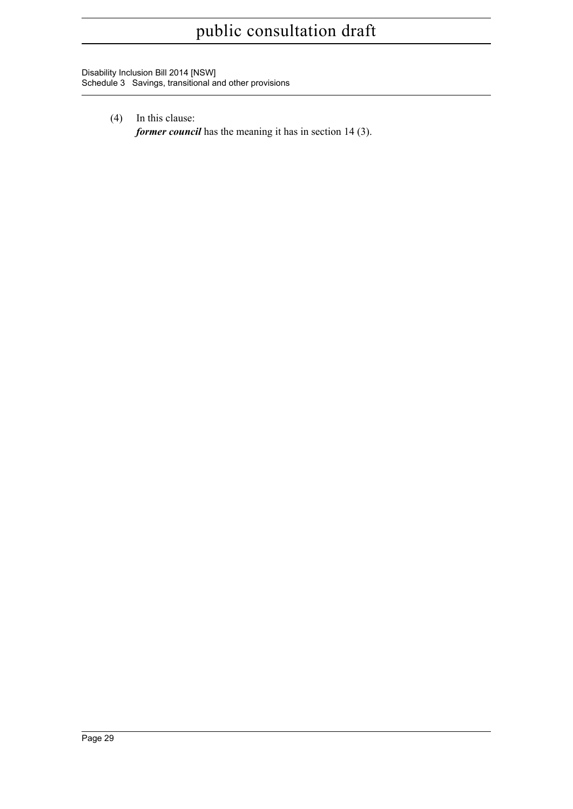Disability Inclusion Bill 2014 [NSW] Schedule 3 Savings, transitional and other provisions

- (4) In this clause:
	- *former council* has the meaning it has in section 14 (3).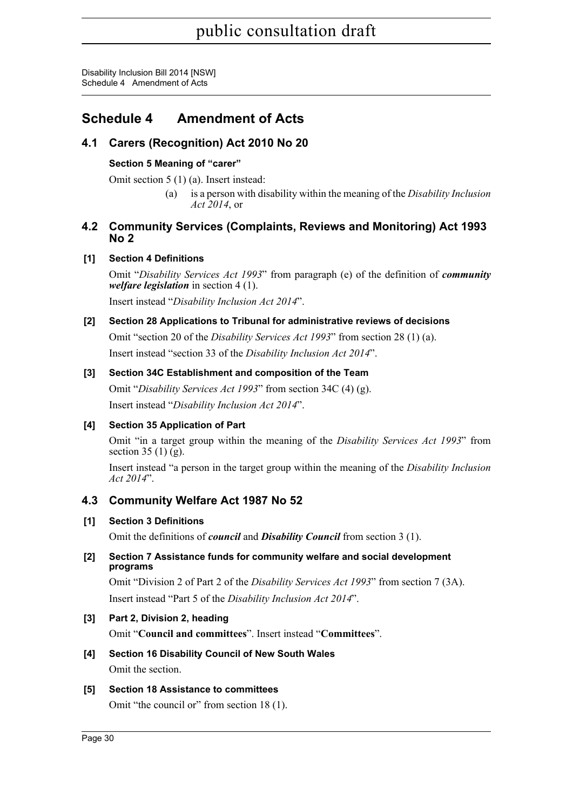## <span id="page-40-0"></span>**Schedule 4 Amendment of Acts**

### **4.1 Carers (Recognition) Act 2010 No 20**

#### **Section 5 Meaning of "carer"**

Omit section 5 (1) (a). Insert instead:

(a) is a person with disability within the meaning of the *Disability Inclusion Act 2014*, or

#### **4.2 Community Services (Complaints, Reviews and Monitoring) Act 1993 No 2**

#### **[1] Section 4 Definitions**

Omit "*Disability Services Act 1993*" from paragraph (e) of the definition of *community welfare legislation* in section 4 (1).

Insert instead "*Disability Inclusion Act 2014*".

#### **[2] Section 28 Applications to Tribunal for administrative reviews of decisions**

Omit "section 20 of the *Disability Services Act 1993*" from section 28 (1) (a). Insert instead "section 33 of the *Disability Inclusion Act 2014*".

#### **[3] Section 34C Establishment and composition of the Team**

Omit "*Disability Services Act 1993*" from section 34C (4) (g). Insert instead "*Disability Inclusion Act 2014*".

#### **[4] Section 35 Application of Part**

Omit "in a target group within the meaning of the *Disability Services Act 1993*" from section  $35(1)(g)$ .

Insert instead "a person in the target group within the meaning of the *Disability Inclusion Act 2014*".

### **4.3 Community Welfare Act 1987 No 52**

#### **[1] Section 3 Definitions**

Omit the definitions of *council* and *Disability Council* from section 3 (1).

#### **[2] Section 7 Assistance funds for community welfare and social development programs**

Omit "Division 2 of Part 2 of the *Disability Services Act 1993*" from section 7 (3A). Insert instead "Part 5 of the *Disability Inclusion Act 2014*".

#### **[3] Part 2, Division 2, heading**

Omit "**Council and committees**". Insert instead "**Committees**".

#### **[4] Section 16 Disability Council of New South Wales** Omit the section.

#### **[5] Section 18 Assistance to committees**

Omit "the council or" from section 18 (1).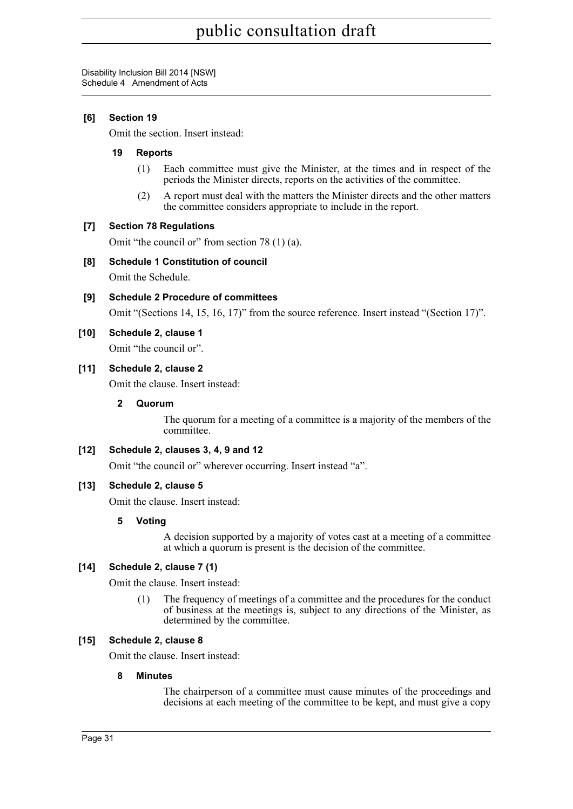#### **[6] Section 19**

Omit the section. Insert instead:

#### **19 Reports**

- (1) Each committee must give the Minister, at the times and in respect of the periods the Minister directs, reports on the activities of the committee.
- (2) A report must deal with the matters the Minister directs and the other matters the committee considers appropriate to include in the report.

#### **[7] Section 78 Regulations**

Omit "the council or" from section 78 (1) (a).

#### **[8] Schedule 1 Constitution of council**

Omit the Schedule.

**[9] Schedule 2 Procedure of committees**

Omit "(Sections 14, 15, 16, 17)" from the source reference. Insert instead "(Section 17)".

#### **[10] Schedule 2, clause 1**

Omit "the council or".

#### **[11] Schedule 2, clause 2**

Omit the clause. Insert instead:

#### **2 Quorum**

The quorum for a meeting of a committee is a majority of the members of the committee.

#### **[12] Schedule 2, clauses 3, 4, 9 and 12**

Omit "the council or" wherever occurring. Insert instead "a".

#### **[13] Schedule 2, clause 5**

Omit the clause. Insert instead:

#### **5 Voting**

A decision supported by a majority of votes cast at a meeting of a committee at which a quorum is present is the decision of the committee.

#### **[14] Schedule 2, clause 7 (1)**

Omit the clause. Insert instead:

(1) The frequency of meetings of a committee and the procedures for the conduct of business at the meetings is, subject to any directions of the Minister, as determined by the committee.

#### **[15] Schedule 2, clause 8**

Omit the clause. Insert instead:

#### **8 Minutes**

The chairperson of a committee must cause minutes of the proceedings and decisions at each meeting of the committee to be kept, and must give a copy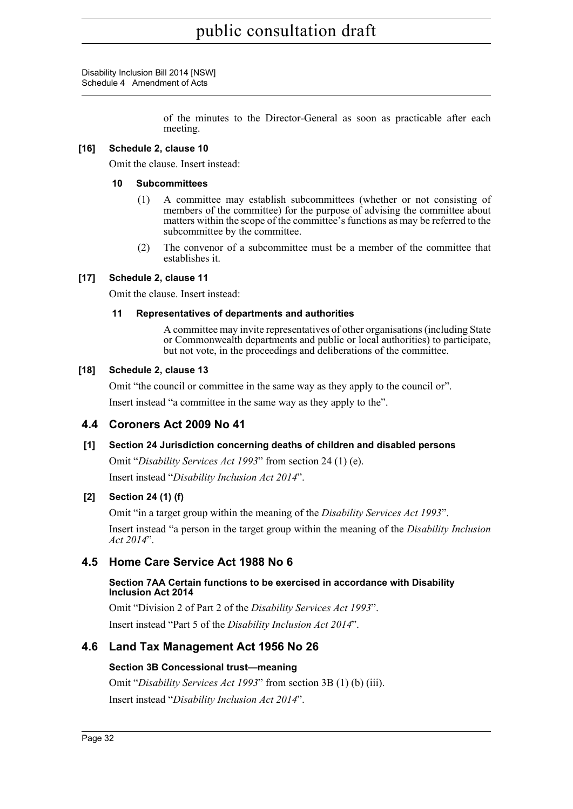Disability Inclusion Bill 2014 [NSW] Schedule 4 Amendment of Acts

> of the minutes to the Director-General as soon as practicable after each meeting.

#### **[16] Schedule 2, clause 10**

Omit the clause. Insert instead:

#### **10 Subcommittees**

- (1) A committee may establish subcommittees (whether or not consisting of members of the committee) for the purpose of advising the committee about matters within the scope of the committee's functions as may be referred to the subcommittee by the committee.
- (2) The convenor of a subcommittee must be a member of the committee that establishes it.

#### **[17] Schedule 2, clause 11**

Omit the clause. Insert instead:

#### **11 Representatives of departments and authorities**

A committee may invite representatives of other organisations (including State or Commonwealth departments and public or local authorities) to participate, but not vote, in the proceedings and deliberations of the committee.

#### **[18] Schedule 2, clause 13**

Omit "the council or committee in the same way as they apply to the council or". Insert instead "a committee in the same way as they apply to the".

#### **4.4 Coroners Act 2009 No 41**

#### **[1] Section 24 Jurisdiction concerning deaths of children and disabled persons**

Omit "*Disability Services Act 1993*" from section 24 (1) (e). Insert instead "*Disability Inclusion Act 2014*".

#### **[2] Section 24 (1) (f)**

Omit "in a target group within the meaning of the *Disability Services Act 1993*". Insert instead "a person in the target group within the meaning of the *Disability Inclusion Act 2014*".

#### **4.5 Home Care Service Act 1988 No 6**

#### **Section 7AA Certain functions to be exercised in accordance with Disability Inclusion Act 2014**

Omit "Division 2 of Part 2 of the *Disability Services Act 1993*". Insert instead "Part 5 of the *Disability Inclusion Act 2014*".

#### **4.6 Land Tax Management Act 1956 No 26**

#### **Section 3B Concessional trust—meaning**

Omit "*Disability Services Act 1993*" from section 3B (1) (b) (iii). Insert instead "*Disability Inclusion Act 2014*".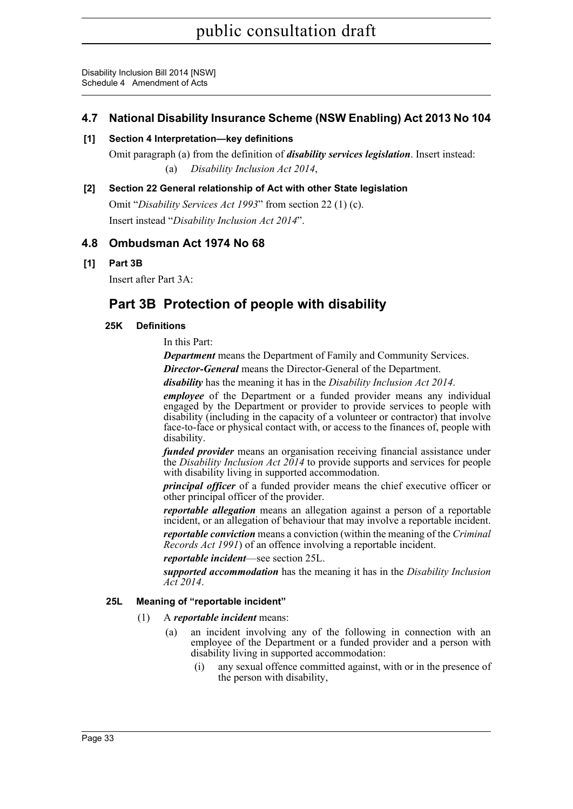#### **4.7 National Disability Insurance Scheme (NSW Enabling) Act 2013 No 104**

#### **[1] Section 4 Interpretation—key definitions**

Omit paragraph (a) from the definition of *disability services legislation*. Insert instead: (a) *Disability Inclusion Act 2014*,

#### **[2] Section 22 General relationship of Act with other State legislation**

Omit "*Disability Services Act 1993*" from section 22 (1) (c). Insert instead "*Disability Inclusion Act 2014*".

#### **4.8 Ombudsman Act 1974 No 68**

#### **[1] Part 3B**

Insert after Part 3A:

### **Part 3B Protection of people with disability**

#### **25K Definitions**

In this Part:

*Department* means the Department of Family and Community Services.

*Director-General* means the Director-General of the Department.

*disability* has the meaning it has in the *Disability Inclusion Act 2014*.

*employee* of the Department or a funded provider means any individual engaged by the Department or provider to provide services to people with disability (including in the capacity of a volunteer or contractor) that involve face-to-face or physical contact with, or access to the finances of, people with disability.

*funded provider* means an organisation receiving financial assistance under the *Disability Inclusion Act 2014* to provide supports and services for people with disability living in supported accommodation.

*principal officer* of a funded provider means the chief executive officer or other principal officer of the provider.

*reportable allegation* means an allegation against a person of a reportable incident, or an allegation of behaviour that may involve a reportable incident.

*reportable conviction* means a conviction (within the meaning of the *Criminal Records Act 1991*) of an offence involving a reportable incident.

*reportable incident*—see section 25L.

*supported accommodation* has the meaning it has in the *Disability Inclusion Act 2014*.

#### **25L Meaning of "reportable incident"**

- (1) A *reportable incident* means:
	- (a) an incident involving any of the following in connection with an employee of the Department or a funded provider and a person with disability living in supported accommodation:
		- (i) any sexual offence committed against, with or in the presence of the person with disability,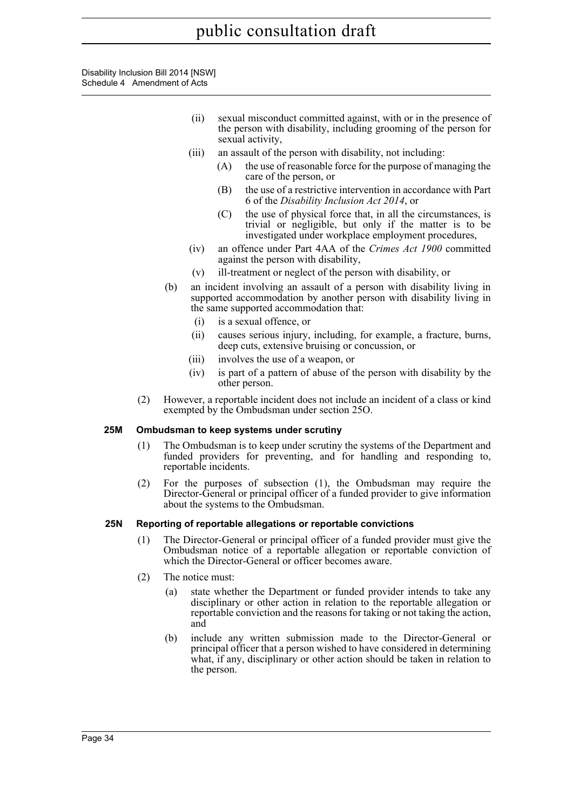Disability Inclusion Bill 2014 [NSW] Schedule 4 Amendment of Acts

- (ii) sexual misconduct committed against, with or in the presence of the person with disability, including grooming of the person for sexual activity,
- (iii) an assault of the person with disability, not including:
	- (A) the use of reasonable force for the purpose of managing the care of the person, or
	- (B) the use of a restrictive intervention in accordance with Part 6 of the *Disability Inclusion Act 2014*, or
	- (C) the use of physical force that, in all the circumstances, is trivial or negligible, but only if the matter is to be investigated under workplace employment procedures,
- (iv) an offence under Part 4AA of the *Crimes Act 1900* committed against the person with disability,
- (v) ill-treatment or neglect of the person with disability, or
- (b) an incident involving an assault of a person with disability living in supported accommodation by another person with disability living in the same supported accommodation that:
	- (i) is a sexual offence, or
	- (ii) causes serious injury, including, for example, a fracture, burns, deep cuts, extensive bruising or concussion, or
	- (iii) involves the use of a weapon, or
	- (iv) is part of a pattern of abuse of the person with disability by the other person.
- (2) However, a reportable incident does not include an incident of a class or kind exempted by the Ombudsman under section 25O.

#### **25M Ombudsman to keep systems under scrutiny**

- (1) The Ombudsman is to keep under scrutiny the systems of the Department and funded providers for preventing, and for handling and responding to, reportable incidents.
- (2) For the purposes of subsection (1), the Ombudsman may require the Director-General or principal officer of a funded provider to give information about the systems to the Ombudsman.

#### **25N Reporting of reportable allegations or reportable convictions**

- (1) The Director-General or principal officer of a funded provider must give the Ombudsman notice of a reportable allegation or reportable conviction of which the Director-General or officer becomes aware.
- (2) The notice must:
	- (a) state whether the Department or funded provider intends to take any disciplinary or other action in relation to the reportable allegation or reportable conviction and the reasons for taking or not taking the action, and
	- (b) include any written submission made to the Director-General or principal officer that a person wished to have considered in determining what, if any, disciplinary or other action should be taken in relation to the person.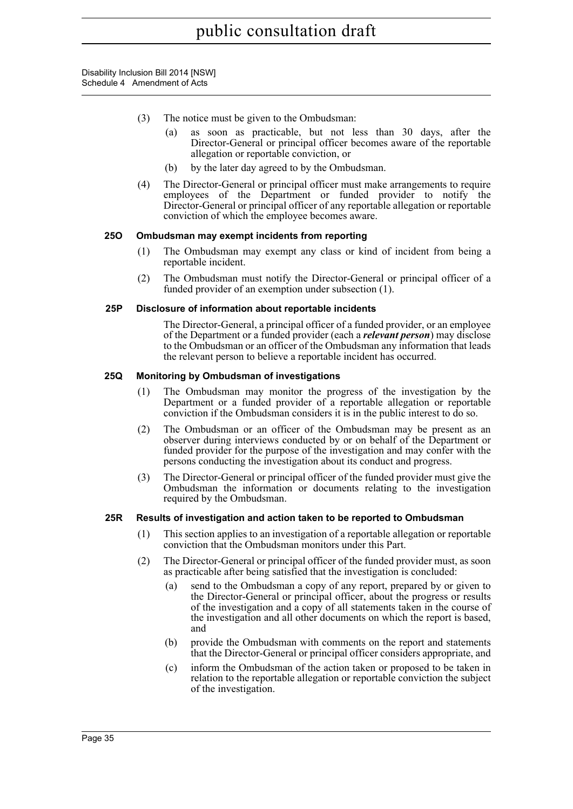- (3) The notice must be given to the Ombudsman:
	- (a) as soon as practicable, but not less than 30 days, after the Director-General or principal officer becomes aware of the reportable allegation or reportable conviction, or
	- (b) by the later day agreed to by the Ombudsman.
- (4) The Director-General or principal officer must make arrangements to require employees of the Department or funded provider to notify the Director-General or principal officer of any reportable allegation or reportable conviction of which the employee becomes aware.

#### **25O Ombudsman may exempt incidents from reporting**

- (1) The Ombudsman may exempt any class or kind of incident from being a reportable incident.
- (2) The Ombudsman must notify the Director-General or principal officer of a funded provider of an exemption under subsection (1).

#### **25P Disclosure of information about reportable incidents**

The Director-General, a principal officer of a funded provider, or an employee of the Department or a funded provider (each a *relevant person*) may disclose to the Ombudsman or an officer of the Ombudsman any information that leads the relevant person to believe a reportable incident has occurred.

#### **25Q Monitoring by Ombudsman of investigations**

- (1) The Ombudsman may monitor the progress of the investigation by the Department or a funded provider of a reportable allegation or reportable conviction if the Ombudsman considers it is in the public interest to do so.
- (2) The Ombudsman or an officer of the Ombudsman may be present as an observer during interviews conducted by or on behalf of the Department or funded provider for the purpose of the investigation and may confer with the persons conducting the investigation about its conduct and progress.
- (3) The Director-General or principal officer of the funded provider must give the Ombudsman the information or documents relating to the investigation required by the Ombudsman.

#### **25R Results of investigation and action taken to be reported to Ombudsman**

- (1) This section applies to an investigation of a reportable allegation or reportable conviction that the Ombudsman monitors under this Part.
- (2) The Director-General or principal officer of the funded provider must, as soon as practicable after being satisfied that the investigation is concluded:
	- (a) send to the Ombudsman a copy of any report, prepared by or given to the Director-General or principal officer, about the progress or results of the investigation and a copy of all statements taken in the course of the investigation and all other documents on which the report is based, and
	- (b) provide the Ombudsman with comments on the report and statements that the Director-General or principal officer considers appropriate, and
	- (c) inform the Ombudsman of the action taken or proposed to be taken in relation to the reportable allegation or reportable conviction the subject of the investigation.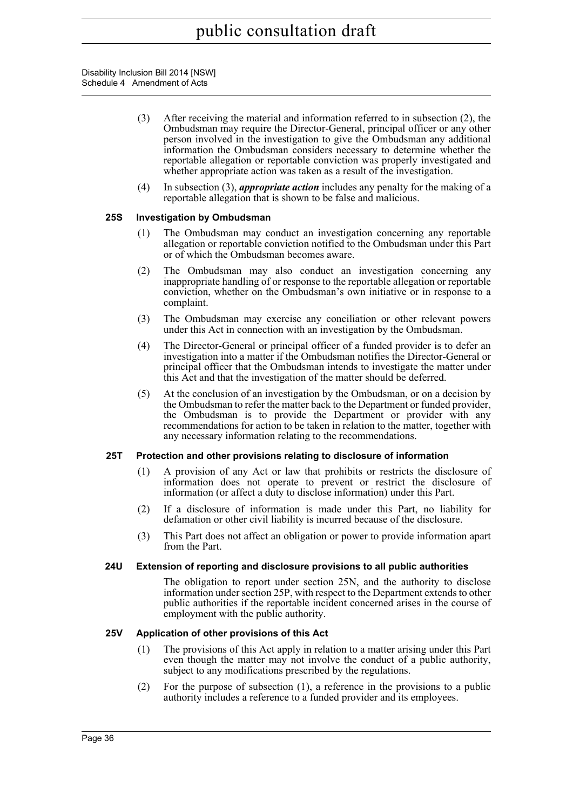- (3) After receiving the material and information referred to in subsection (2), the Ombudsman may require the Director-General, principal officer or any other person involved in the investigation to give the Ombudsman any additional information the Ombudsman considers necessary to determine whether the reportable allegation or reportable conviction was properly investigated and whether appropriate action was taken as a result of the investigation.
- (4) In subsection (3), *appropriate action* includes any penalty for the making of a reportable allegation that is shown to be false and malicious.

#### **25S Investigation by Ombudsman**

- (1) The Ombudsman may conduct an investigation concerning any reportable allegation or reportable conviction notified to the Ombudsman under this Part or of which the Ombudsman becomes aware.
- (2) The Ombudsman may also conduct an investigation concerning any inappropriate handling of or response to the reportable allegation or reportable conviction, whether on the Ombudsman's own initiative or in response to a complaint.
- (3) The Ombudsman may exercise any conciliation or other relevant powers under this Act in connection with an investigation by the Ombudsman.
- (4) The Director-General or principal officer of a funded provider is to defer an investigation into a matter if the Ombudsman notifies the Director-General or principal officer that the Ombudsman intends to investigate the matter under this Act and that the investigation of the matter should be deferred.
- (5) At the conclusion of an investigation by the Ombudsman, or on a decision by the Ombudsman to refer the matter back to the Department or funded provider, the Ombudsman is to provide the Department or provider with any recommendations for action to be taken in relation to the matter, together with any necessary information relating to the recommendations.

#### **25T Protection and other provisions relating to disclosure of information**

- (1) A provision of any Act or law that prohibits or restricts the disclosure of information does not operate to prevent or restrict the disclosure of information (or affect a duty to disclose information) under this Part.
- (2) If a disclosure of information is made under this Part, no liability for defamation or other civil liability is incurred because of the disclosure.
- (3) This Part does not affect an obligation or power to provide information apart from the Part.

#### **24U Extension of reporting and disclosure provisions to all public authorities**

The obligation to report under section 25N, and the authority to disclose information under section 25P, with respect to the Department extends to other public authorities if the reportable incident concerned arises in the course of employment with the public authority.

#### **25V Application of other provisions of this Act**

- (1) The provisions of this Act apply in relation to a matter arising under this Part even though the matter may not involve the conduct of a public authority, subject to any modifications prescribed by the regulations.
- (2) For the purpose of subsection (1), a reference in the provisions to a public authority includes a reference to a funded provider and its employees.